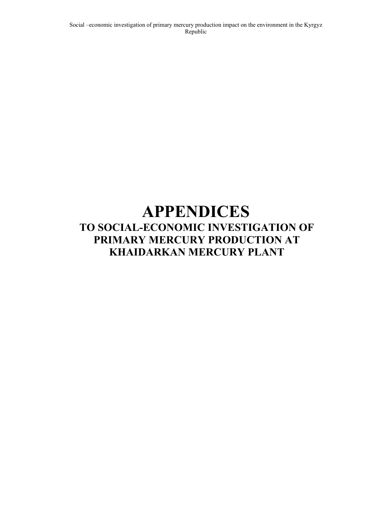# **APPENDICES TO SOCIAL-ECONOMIC INVESTIGATION OF PRIMARY MERCURY PRODUCTION AT KHAIDARKAN MERCURY PLANT**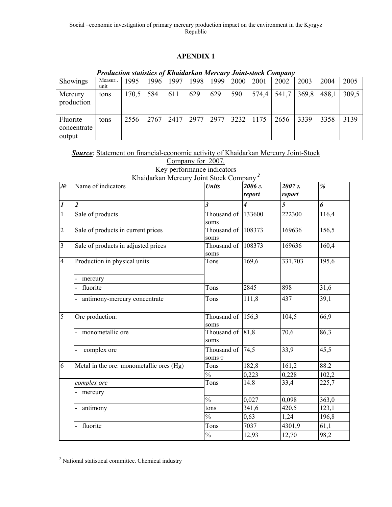|                                   | 1 гониснон минмисм от книшни кин тегеит у John-slock Company |       |      |      |      |      |      |       |       |       |       |       |
|-----------------------------------|--------------------------------------------------------------|-------|------|------|------|------|------|-------|-------|-------|-------|-------|
| Showings                          | Measur<br>unit                                               | 1995  | 1996 | 1997 | 1998 | 1999 | 2000 | 2001  | 2002  | 2003  | 2004  | 2005  |
| Mercury<br>production             | tons                                                         | 170.5 | 584  | 611  | 629  | 629  | 590  | 574,4 | 541,7 | 369,8 | 488,1 | 309.5 |
| Fluorite<br>concentrate<br>output | tons                                                         | 2556  | 2767 | 2417 | 2977 | 2977 | 3232 | 1175  | 2656  | 3339  | 3358  | 3139  |

# *Production statistics of Khaidarkan Mercury Joint-stock Company*

|  | <b>Source:</b> Statement on financial-economic activity of Khaidarkan Mercury Joint-Stock |  |
|--|-------------------------------------------------------------------------------------------|--|
|  |                                                                                           |  |

| $\mathcal{N}$    | Khaidarkan Mercury Joint Stock Company <sup>2</sup><br>Name of indicators | <b>Units</b>                     | 2006 г.        | 2007z   | %     |
|------------------|---------------------------------------------------------------------------|----------------------------------|----------------|---------|-------|
|                  |                                                                           |                                  | report         | report  |       |
| $\boldsymbol{l}$ | $\overline{2}$                                                            | $\overline{\mathbf{3}}$          | $\overline{4}$ | 5       | 6     |
| $\mathbf{1}$     | Sale of products                                                          | Thousand of<br>soms              | 133600         | 222300  | 116,4 |
| $\overline{2}$   | Sale of products in current prices                                        | Thousand of 108373<br>soms       |                | 169636  | 156,5 |
| 3                | Sale of products in adjusted prices                                       | Thousand of 108373<br>soms       |                | 169636  | 160,4 |
| $\overline{4}$   | Production in physical units                                              | Tons                             | 169,6          | 331,703 | 195,6 |
|                  | mercury                                                                   |                                  |                |         |       |
|                  | fluorite                                                                  | Tons                             | 2845           | 898     | 31,6  |
|                  | antimony-mercury concentrate                                              | Tons                             | 111,8          | 437     | 39,1  |
| 5                | Ore production:                                                           | Thousand of<br>soms              | 156,3          | 104,5   | 66,9  |
|                  | monometallic ore                                                          | Thousand of<br>soms              | 81,8           | 70,6    | 86,3  |
|                  | complex ore<br>$\overline{\phantom{0}}$                                   | Thousand of<br>SOMS <sub>T</sub> | 74,5           | 33,9    | 45,5  |
| 6                | Metal in the ore: monometallic ores (Hg)                                  | Tons                             | 182,8          | 161,2   | 88.2  |
|                  |                                                                           | $\frac{0}{0}$                    | 0,223          | 0,228   | 102,2 |
|                  | complex ore                                                               | Tons                             | 14.8           | 33,4    | 225,7 |
|                  | mercury                                                                   |                                  |                |         |       |
|                  |                                                                           | $\frac{0}{0}$                    | 0,027          | 0,098   | 363,0 |
|                  | antimony                                                                  | tons                             | 341,6          | 420,5   | 123,1 |
|                  |                                                                           | $\frac{0}{0}$                    | 0,63           | 1,24    | 196,8 |
|                  | fluorite<br>$\overline{a}$                                                | Tons                             | 7037           | 4301,9  | 61,1  |
|                  |                                                                           | $\frac{0}{0}$                    | 12,93          | 12,70   | 98,2  |

l <sup>2</sup> National statistical committee. Chemical industry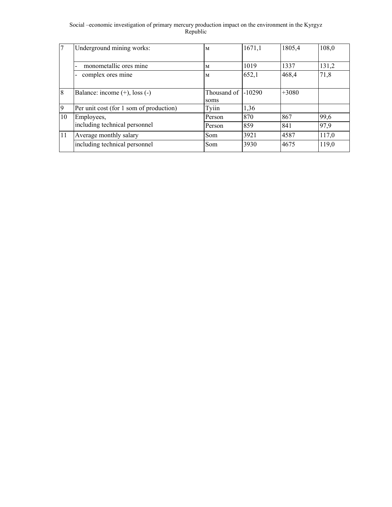|               | Underground mining works:               | M                             | 1671,1 | 1805,4  | 108,0 |
|---------------|-----------------------------------------|-------------------------------|--------|---------|-------|
|               | monometallic ores mine                  | M                             | 1019   | 1337    | 131,2 |
|               | complex ores mine                       | M                             | 652,1  | 468,4   | 71,8  |
| 8             | Balance: income $(+)$ , loss $(-)$      | Thousand of $ -10290$<br>soms |        | $+3080$ |       |
| <b>9</b>      | Per unit cost (for 1 som of production) | Tyiin                         | 1,36   |         |       |
| 10            | Employees,                              | Person                        | 870    | 867     | 99,6  |
|               | including technical personnel           | Person                        | 859    | 841     | 97,9  |
| <sup>11</sup> | Average monthly salary                  | <b>Som</b>                    | 3921   | 4587    | 117,0 |
|               | including technical personnel           | Som                           | 3930   | 4675    | 119,0 |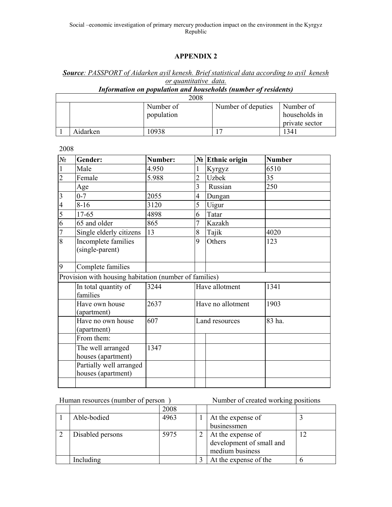# *Source: PASSPORT of Aidarken ayil kenesh. Brief statistical data according to ayil kenesh or quantitative data.*

# *Information on population and households (number of residents)*

| 2008     |                         |                    |                                              |  |  |  |  |  |
|----------|-------------------------|--------------------|----------------------------------------------|--|--|--|--|--|
|          | Number of<br>population | Number of deputies | Number of<br>households in<br>private sector |  |  |  |  |  |
| Aidarken | 10938                   |                    | 1341                                         |  |  |  |  |  |

2008

| $N_2$                   | Gender:                                                | Number: |                | $N2$ Ethnic origin | <b>Number</b> |
|-------------------------|--------------------------------------------------------|---------|----------------|--------------------|---------------|
| $\mathbf{1}$            | Male                                                   | 4.950   | 1              | Kyrgyz             | 6510          |
| $\overline{c}$          | Female                                                 | 5.988   | $\overline{c}$ | <b>Uzbek</b>       | 35            |
|                         | Age                                                    |         | 3              | Russian            | 250           |
| $\overline{\mathbf{3}}$ | $0 - 7$                                                | 2055    | $\overline{4}$ | Dungan             |               |
| $\overline{4}$          | $8 - 16$                                               | 3120    | 5              | Uigur              |               |
| $\overline{5}$          | 17-65                                                  | 4898    | 6              | Tatar              |               |
| 6                       | 65 and older                                           | 865     | 7              | Kazakh             |               |
| $\overline{7}$          | Single elderly citizens                                | 13      | 8              | Tajik              | 4020          |
| $\overline{8}$          | Incomplete families<br>(single-parent)                 |         | 9<br>Others    |                    | 123           |
| 9                       | Complete families                                      |         |                |                    |               |
|                         | Provision with housing habitation (number of families) |         |                |                    |               |
|                         | In total quantity of<br>families                       | 3244    |                | Have allotment     | 1341          |
|                         | Have own house<br>(apartment)                          | 2637    |                | Have no allotment  | 1903          |
|                         | Have no own house<br>(apartment)                       | 607     |                | Land resources     | 83 ha.        |
|                         | From them:                                             |         |                |                    |               |
|                         | The well arranged<br>houses (apartment)                | 1347    |                |                    |               |
|                         | Partially well arranged<br>houses (apartment)          |         |                |                    |               |
|                         |                                                        |         |                |                    |               |

Human resources (number of person ) Number of created working positions

|                  | 2008 |                          |  |
|------------------|------|--------------------------|--|
| Able-bodied      | 4963 | At the expense of        |  |
|                  |      | businessmen              |  |
| Disabled persons | 5975 | At the expense of        |  |
|                  |      | development of small and |  |
|                  |      | medium business          |  |
| Including        |      | At the expense of the    |  |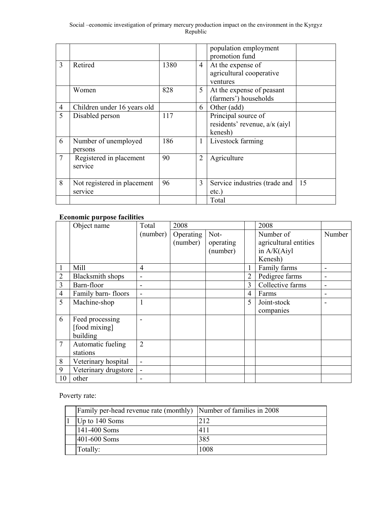|                |                                        |      |                | population employment<br>promotion fund                         |    |
|----------------|----------------------------------------|------|----------------|-----------------------------------------------------------------|----|
| $\overline{3}$ | Retired                                | 1380 | $\overline{4}$ | At the expense of<br>agricultural cooperative<br>ventures       |    |
|                | Women                                  | 828  | 5              | At the expense of peasant<br>(farmers') households              |    |
| $\overline{4}$ | Children under 16 years old            |      | 6              | Other (add)                                                     |    |
| 5              | Disabled person                        | 117  |                | Principal source of<br>residents' revenue, a/k (aiyl<br>kenesh) |    |
| 6              | Number of unemployed<br>persons        | 186  | 1              | Livestock farming                                               |    |
| $\overline{7}$ | Registered in placement<br>service     | 90   | $\overline{2}$ | Agriculture                                                     |    |
| 8              | Not registered in placement<br>service | 96   | 3              | Service industries (trade and<br>etc.)                          | 15 |
|                |                                        |      |                | Total                                                           |    |

# **Economic purpose facilities**

|                | Object name          | Total          | 2008      |           |                | 2008                  |                          |
|----------------|----------------------|----------------|-----------|-----------|----------------|-----------------------|--------------------------|
|                |                      | (number)       | Operating | Not-      |                | Number of             | Number                   |
|                |                      |                | (number)  | operating |                | agricultural entities |                          |
|                |                      |                |           | (number)  |                | in A/K(Aiyl           |                          |
|                |                      |                |           |           |                | Kenesh)               |                          |
|                | Mill                 | $\overline{4}$ |           |           |                | Family farms          |                          |
| 2              | Blacksmith shops     | ۰              |           |           | $\overline{2}$ | Pedigree farms        |                          |
| 3              | Barn-floor           | -              |           |           | 3              | Collective farms      | $\overline{\phantom{0}}$ |
| $\overline{4}$ | Family barn-floors   |                |           |           | $\overline{4}$ | Farms                 | -                        |
| 5              | Machine-shop         | 1              |           |           | 5              | Joint-stock           |                          |
|                |                      |                |           |           |                | companies             |                          |
| 6              | Feed processing      |                |           |           |                |                       |                          |
|                | [food mixing]        |                |           |           |                |                       |                          |
|                | building             |                |           |           |                |                       |                          |
| $\overline{7}$ | Automatic fueling    | $\overline{2}$ |           |           |                |                       |                          |
|                | stations             |                |           |           |                |                       |                          |
| 8              | Veterinary hospital  |                |           |           |                |                       |                          |
| 9              | Veterinary drugstore |                |           |           |                |                       |                          |
| 10             | other                |                |           |           |                |                       |                          |

Poverty rate:

| Family per-head revenue rate (monthly) Number of families in 2008 |      |
|-------------------------------------------------------------------|------|
| Up to 140 Soms                                                    | 212  |
| 141-400 Soms                                                      | 411  |
| 401-600 Soms                                                      | 385  |
| Totally:                                                          | 1008 |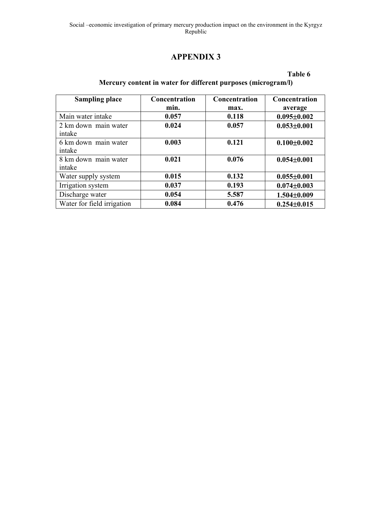**Table 6** 

# **Mercury content in water for different purposes (microgram/l)**

| <b>Sampling place</b>          | Concentration<br>min. | Concentration<br>max. | <b>Concentration</b><br>average |
|--------------------------------|-----------------------|-----------------------|---------------------------------|
| Main water intake              | 0.057                 | 0.118                 | $0.095 \pm 0.002$               |
| 2 km down main water<br>intake | 0.024                 | 0.057                 | $0.053 \pm 0.001$               |
| 6 km down main water<br>intake | 0.003                 | 0.121                 | $0.100 \pm 0.002$               |
| 8 km down main water<br>intake | 0.021                 | 0.076                 | $0.054 \pm 0.001$               |
| Water supply system            | 0.015                 | 0.132                 | $0.055 \pm 0.001$               |
| Irrigation system              | 0.037                 | 0.193                 | $0.074 \pm 0.003$               |
| Discharge water                | 0.054                 | 5.587                 | $1.504 \pm 0.009$               |
| Water for field irrigation     | 0.084                 | 0.476                 | $0.254 \pm 0.015$               |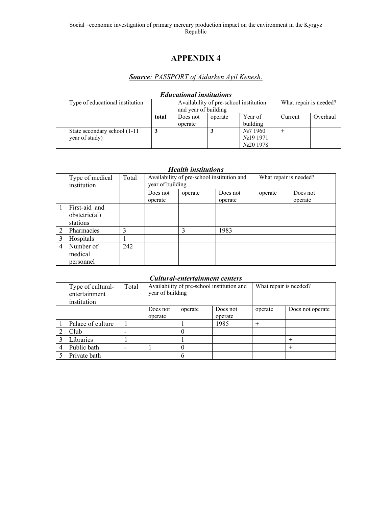# *Source: PASSPORT of Aidarken Ayil Kenesh.*

| ешисанонат тышиноны             |       |                      |                                        |                        |         |          |  |  |  |  |  |
|---------------------------------|-------|----------------------|----------------------------------------|------------------------|---------|----------|--|--|--|--|--|
| Type of educational institution |       |                      | Availability of pre-school institution | What repair is needed? |         |          |  |  |  |  |  |
|                                 |       | and year of building |                                        |                        |         |          |  |  |  |  |  |
|                                 | total | Does not             | operate                                | Year of                | Current | Overhaul |  |  |  |  |  |
|                                 |       | operate              |                                        | building               |         |          |  |  |  |  |  |
| State secondary school (1-11)   |       |                      |                                        | $N_2$ 7 1960           |         |          |  |  |  |  |  |
| year of study)                  |       |                      |                                        | N <sub>2</sub> 19 1971 |         |          |  |  |  |  |  |
|                                 |       |                      |                                        | $N20$ 1978             |         |          |  |  |  |  |  |

## *Educational institutions*

### *Health institutions*

|                | Type of medical<br>institution            | Total | Availability of pre-school institution and<br>year of building |         |                     | What repair is needed? |                     |
|----------------|-------------------------------------------|-------|----------------------------------------------------------------|---------|---------------------|------------------------|---------------------|
|                |                                           |       | Does not<br>operate                                            | operate | Does not<br>operate | operate                | Does not<br>operate |
|                | First-aid and<br>obsteric(al)<br>stations |       |                                                                |         |                     |                        |                     |
|                | Pharmacies                                | 3     |                                                                | 3       | 1983                |                        |                     |
| 3              | Hospitals                                 |       |                                                                |         |                     |                        |                     |
| $\overline{4}$ | Number of<br>medical<br>personnel         | 242   |                                                                |         |                     |                        |                     |

### *Cultural-entertainment centers*

|   | Type of cultural-<br>entertainment<br>institution | Total | Availability of pre-school institution and<br>year of building |         |                     | What repair is needed? |                  |
|---|---------------------------------------------------|-------|----------------------------------------------------------------|---------|---------------------|------------------------|------------------|
|   |                                                   |       | Does not<br>operate                                            | operate | Does not<br>operate | operate                | Does not operate |
|   | Palace of culture                                 |       |                                                                |         | 1985                | $+$                    |                  |
|   | Club                                              |       |                                                                |         |                     |                        |                  |
|   | Libraries                                         |       |                                                                |         |                     |                        |                  |
| 4 | Public bath                                       |       |                                                                |         |                     |                        | $^{+}$           |
|   | Private bath                                      |       |                                                                | 6       |                     |                        |                  |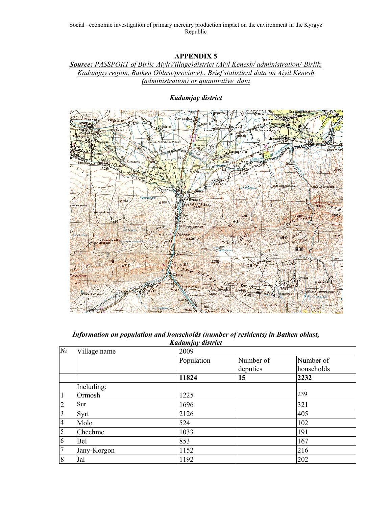# *Source: PASSPORT of Birlic Aiyl(Village)district (Aiyl Kenesh/ administration/-Birlik, Kadamjay region, Batken Oblast/province).. Brief statistical data on Aiyil Kenesh (administration) or quantitative data*

### *Kadamjay district*



### *Information on population and households (number of residents) in Batken oblast, Kadamjay district*

|                         |              | nuuuniju v uwu ici |           |            |  |  |  |
|-------------------------|--------------|--------------------|-----------|------------|--|--|--|
| $N_2$                   | Village name | 2009               |           |            |  |  |  |
|                         |              | Population         | Number of | Number of  |  |  |  |
|                         |              |                    | deputies  | households |  |  |  |
|                         |              | 11824              | 15        | 2232       |  |  |  |
|                         | Including:   |                    |           |            |  |  |  |
| $\vert$ 1               | Ormosh       | 1225               |           | 239        |  |  |  |
| $\overline{2}$          | Sur          | 1696               |           | 321        |  |  |  |
| $\overline{\mathbf{3}}$ | Syrt         | 2126               |           | 405        |  |  |  |
| $\overline{4}$          | Molo         | 524                |           | 102        |  |  |  |
| 5                       | Chechme      | 1033               |           | 191        |  |  |  |
| 6                       | Bel          | 853                |           | 167        |  |  |  |
| $\overline{7}$          | Jany-Korgon  | 1152               |           | 216        |  |  |  |
| 8                       | Jal          | 1192               |           | 202        |  |  |  |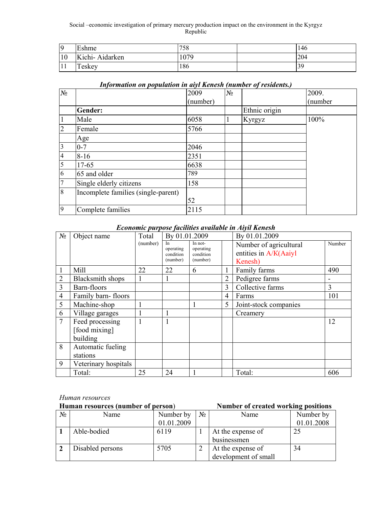| lQ        | Eshme          | 758  | 146 |
|-----------|----------------|------|-----|
| 10        | Kichi-Aidarken | 1079 | 204 |
| <b>TT</b> | Teskey         | 186  | 39  |

# *Information on population in aiyl Kenesh (number of residents.)*

| $N_2$           |                                     | 2009     | $N_{\! \! \! \Omega}$ |               | 2009.   |
|-----------------|-------------------------------------|----------|-----------------------|---------------|---------|
|                 |                                     | (number) |                       |               | (number |
|                 | Gender:                             |          |                       | Ethnic origin |         |
| $\mathbf{1}$    | Male                                | 6058     | -1                    | Kyrgyz        | 100%    |
| $\overline{2}$  | Female                              | 5766     |                       |               |         |
|                 | Age                                 |          |                       |               |         |
| $\vert 3 \vert$ | $0 - 7$                             | 2046     |                       |               |         |
| $\overline{4}$  | $8 - 16$                            | 2351     |                       |               |         |
| $\overline{5}$  | 17-65                               | 6638     |                       |               |         |
| 6               | 65 and older                        | 789      |                       |               |         |
| $7\overline{ }$ | Single elderly citizens             | 158      |                       |               |         |
| 8               | Incomplete families (single-parent) |          |                       |               |         |
|                 |                                     | 52       |                       |               |         |
| 9               | Complete families                   | 2115     |                       |               |         |

### *Economic purpose facilities available in Aiyil Kenesh*

| $N_2$          | Object name             | Total    | By 01.01.2009   |                      |   | By 01.01.2009          |        |
|----------------|-------------------------|----------|-----------------|----------------------|---|------------------------|--------|
|                |                         | (number) | In<br>operating | In not-<br>operating |   | Number of agricultural | Number |
|                |                         |          | condition       | condition            |   | entities in A/K(Aaiyl  |        |
|                |                         |          | (number)        | (number)             |   | Kenesh)                |        |
|                | Mill                    | 22       | 22              | 6                    |   | Family farms           | 490    |
| $\overline{2}$ | <b>Blacksmith shops</b> |          |                 |                      | 2 | Pedigree farms         |        |
| 3              | Barn-floors             |          |                 |                      | 3 | Collective farms       | 3      |
| $\overline{4}$ | Family barn-floors      |          |                 |                      | 4 | Farms                  | 101    |
| 5              | Machine-shop            |          |                 |                      | 5 | Joint-stock companies  |        |
| 6              | Village garages         |          |                 |                      |   | Creamery               |        |
| $\overline{7}$ | Feed processing         |          |                 |                      |   |                        | 12     |
|                | [food mixing]           |          |                 |                      |   |                        |        |
|                | building                |          |                 |                      |   |                        |        |
| 8              | Automatic fueling       |          |                 |                      |   |                        |        |
|                | stations                |          |                 |                      |   |                        |        |
| 9              | Veterinary hospitals    |          |                 |                      |   |                        |        |
|                | Total:                  | 25       | 24              |                      |   | Total:                 | 606    |

### *Human resources*

| Human resources (number of person) |                  |            |       | <b>Number of created working positions</b> |            |  |
|------------------------------------|------------------|------------|-------|--------------------------------------------|------------|--|
| N <sub>2</sub>                     | Name             | Number by  | $N_2$ | Name                                       | Number by  |  |
|                                    |                  | 01.01.2009 |       |                                            | 01.01.2008 |  |
|                                    | Able-bodied      | 6119       |       | At the expense of                          | 25         |  |
|                                    |                  |            |       | businessmen                                |            |  |
|                                    | Disabled persons | 5705       |       | At the expense of                          | 34         |  |
|                                    |                  |            |       | development of small                       |            |  |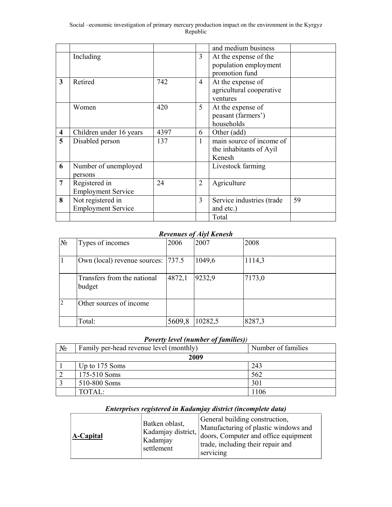|                         |                                                |      |                | and medium business                                              |    |
|-------------------------|------------------------------------------------|------|----------------|------------------------------------------------------------------|----|
|                         | Including                                      |      | $\mathfrak{Z}$ | At the expense of the<br>population employment<br>promotion fund |    |
| $\mathbf{3}$            | Retired                                        | 742  | $\overline{4}$ | At the expense of<br>agricultural cooperative<br>ventures        |    |
|                         | Women                                          | 420  | 5              | At the expense of<br>peasant (farmers')<br>households            |    |
| $\overline{\mathbf{4}}$ | Children under 16 years                        | 4397 | 6              | Other (add)                                                      |    |
| 5                       | Disabled person                                | 137  | $\mathbf{1}$   | main source of income of<br>the inhabitants of Ayil<br>Kenesh    |    |
| 6                       | Number of unemployed<br>persons                |      |                | Livestock farming                                                |    |
| $\overline{7}$          | Registered in<br><b>Employment Service</b>     | 24   | $\overline{2}$ | Agriculture                                                      |    |
| 8                       | Not registered in<br><b>Employment Service</b> |      | 3              | Service industries (trade<br>and etc.)                           | 59 |
|                         |                                                |      |                | Total                                                            |    |

# *Revenues of Aiyl Kenesh*

| $N_2$        | Types of incomes                      | 2006   | 2007    | 2008   |
|--------------|---------------------------------------|--------|---------|--------|
|              | Own (local) revenue sources: 737.5    |        | 1049,6  | 1114,3 |
|              | Transfers from the national<br>budget | 4872,1 | 9232,9  | 7173,0 |
| <sup>2</sup> | Other sources of income               |        |         |        |
|              | Total:                                | 5609,8 | 10282,5 | 8287,3 |

# *Poverty level (number of families))*

| $N_2$ | Family per-head revenue level (monthly) | Number of families |  |  |  |  |
|-------|-----------------------------------------|--------------------|--|--|--|--|
| 2009  |                                         |                    |  |  |  |  |
|       | Up to 175 Soms                          | 243                |  |  |  |  |
|       | 175-510 Soms                            | 562                |  |  |  |  |
|       | 510-800 Soms                            | 301                |  |  |  |  |
|       | TOTAL:                                  | 1106               |  |  |  |  |

# *Enterprises registered in Kadamjay district (incomplete data)*

| A-Capital | Batken oblast,<br>Kadamjay district,<br>Kadamjay<br>settlement | General building construction,<br>Manufacturing of plastic windows and<br>doors, Computer and office equipment<br>trade, including their repair and<br>servicing |
|-----------|----------------------------------------------------------------|------------------------------------------------------------------------------------------------------------------------------------------------------------------|
|-----------|----------------------------------------------------------------|------------------------------------------------------------------------------------------------------------------------------------------------------------------|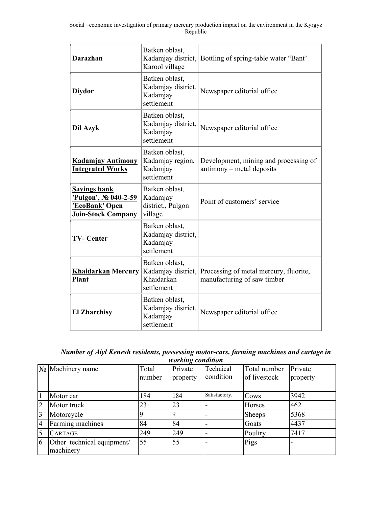| <b>Darazhan</b>                                                                             | Batken oblast,<br>Kadamjay district,<br>Karool village           | Bottling of spring-table water "Bant"                                 |
|---------------------------------------------------------------------------------------------|------------------------------------------------------------------|-----------------------------------------------------------------------|
| <b>Diydor</b>                                                                               | Batken oblast,<br>Kadamjay district,<br>Kadamjay<br>settlement   | Newspaper editorial office                                            |
| Dil Azyk                                                                                    | Batken oblast,<br>Kadamjay district,<br>Kadamjay<br>settlement   | Newspaper editorial office                                            |
| <b>Kadamjay Antimony</b><br><b>Integrated Works</b>                                         | Batken oblast,<br>Kadamjay region,<br>Kadamjay<br>settlement     | Development, mining and processing of<br>antimony – metal deposits    |
| <b>Savings bank</b><br>'Pulgon', No 040-2-59<br>'EcoBank' Open<br><b>Join-Stock Company</b> | Batken oblast,<br>Kadamjay<br>district,, Pulgon<br>village       | Point of customers' service                                           |
| <b>TV-Center</b>                                                                            | Batken oblast,<br>Kadamjay district,<br>Kadamjay<br>settlement   |                                                                       |
| <b>Khaidarkan Mercury</b><br>Plant                                                          | Batken oblast,<br>Kadamjay district,<br>Khaidarkan<br>settlement | Processing of metal mercury, fluorite,<br>manufacturing of saw timber |
| <b>El Zharchisy</b>                                                                         | Batken oblast,<br>Kadamjay district,<br>Kadamjay<br>settlement   | Newspaper editorial office                                            |

| Number of Aiyl Kenesh residents, possessing motor-cars, farming machines and cartage in |
|-----------------------------------------------------------------------------------------|
| <i>working condition</i>                                                                |

|                 | $\mathbb{N}_{\scriptscriptstyle{\mathsf{\underline{0}}}}$ Machinery name | Total<br>number | Private<br>property | Technical<br>condition | Total number<br>of livestock | Private<br>property |
|-----------------|--------------------------------------------------------------------------|-----------------|---------------------|------------------------|------------------------------|---------------------|
|                 | Motor car                                                                | 184             | 184                 | Satisfactory.          | Cows                         | 3942                |
| $\overline{2}$  | Motor truck                                                              | 23              | 23                  |                        | Horses                       | 462                 |
| $\vert 3 \vert$ | Motorcycle                                                               |                 |                     | -                      | <b>Sheeps</b>                | 5368                |
| 4               | Farming machines                                                         | 84              | 84                  |                        | Goats                        | 4437                |
|                 | <b>CARTAGE</b>                                                           | 249             | 249                 | -                      | Poultry                      | 7417                |
| 16              | Other technical equipment/<br>machinery                                  | 55              | 55                  |                        | Pigs                         |                     |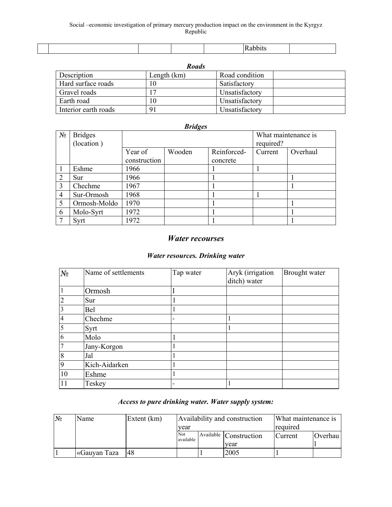| <b>Roads</b>         |             |                |  |  |  |  |  |
|----------------------|-------------|----------------|--|--|--|--|--|
| Description          | Length (km) | Road condition |  |  |  |  |  |
| Hard surface roads   |             | Satisfactory   |  |  |  |  |  |
| Gravel roads         |             | Unsatisfactory |  |  |  |  |  |
| Earth road           |             | Unsatisfactory |  |  |  |  |  |
| Interior earth roads | 91          | Unsatisfactory |  |  |  |  |  |

|                | <b>Bridges</b>               |              |        |             |                                  |          |  |  |  |  |
|----------------|------------------------------|--------------|--------|-------------|----------------------------------|----------|--|--|--|--|
| $N_2$          | <b>Bridges</b><br>(location) |              |        |             | What maintenance is<br>required? |          |  |  |  |  |
|                |                              | Year of      | Wooden | Reinforced- | Current                          | Overhaul |  |  |  |  |
|                |                              | construction |        | concrete    |                                  |          |  |  |  |  |
|                | Eshme                        | 1966         |        |             |                                  |          |  |  |  |  |
| $\mathcal{D}$  | Sur                          | 1966         |        |             |                                  |          |  |  |  |  |
| 3              | Chechme                      | 1967         |        |             |                                  |          |  |  |  |  |
| $\overline{4}$ | Sur-Ormosh                   | 1968         |        |             |                                  |          |  |  |  |  |
| 5              | Ormosh-Moldo                 | 1970         |        |             |                                  |          |  |  |  |  |
| 6              | Molo-Syrt                    | 1972         |        |             |                                  |          |  |  |  |  |
|                | Syrt                         | 1972         |        |             |                                  |          |  |  |  |  |

# *Water recourses*

# *Water resources. Drinking water*

| $N_2$          | Name of settlements | Tap water | Aryk (irrigation<br>ditch) water | Brought water |
|----------------|---------------------|-----------|----------------------------------|---------------|
|                | Ormosh              |           |                                  |               |
| $\overline{2}$ | Sur                 |           |                                  |               |
| $\overline{3}$ | <b>Bel</b>          |           |                                  |               |
| $\overline{4}$ | Chechme             |           |                                  |               |
| 5              | Syrt                |           |                                  |               |
| 6              | Molo                |           |                                  |               |
| $\overline{7}$ | Jany-Korgon         |           |                                  |               |
| 8              | Jal                 |           |                                  |               |
| <b>9</b>       | Kich-Aidarken       |           |                                  |               |
| 10             | Eshme               |           |                                  |               |
| <sup>11</sup>  | Teskey              |           |                                  |               |

# *Access to pure drinking water. Water supply system:*

| N <sub>2</sub> | Name         | Extent (km) | Availability and construction<br>vear |  |                                | What maintenance is<br>required |         |  |
|----------------|--------------|-------------|---------------------------------------|--|--------------------------------|---------------------------------|---------|--|
|                |              |             | Not<br>available                      |  | Available Construction<br>vear | Current                         | Overhau |  |
|                | «Gauyan Taza | 148         |                                       |  | 2005                           |                                 |         |  |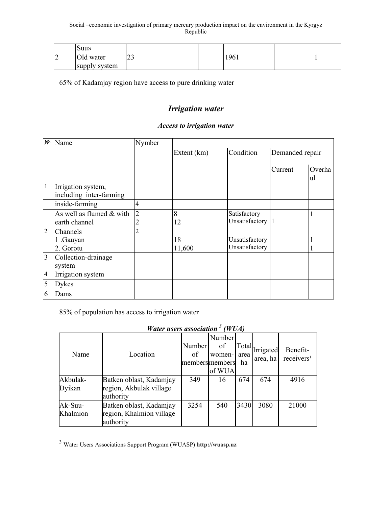| Suu»          |    |  |     |  |
|---------------|----|--|-----|--|
| Old water     | رے |  | 961 |  |
| supply system |    |  |     |  |

65% of Kadamjay region have access to pure drinking water

# *Irrigation water*

### *Access to irrigation water*

|                | No Name                                       | Nymber              |             |                                  |                 |              |
|----------------|-----------------------------------------------|---------------------|-------------|----------------------------------|-----------------|--------------|
|                |                                               |                     | Extent (km) | Condition                        | Demanded repair |              |
|                |                                               |                     |             |                                  | Current         | Overha<br>ul |
| $\mathbf{1}$   | Irrigation system,<br>including inter-farming |                     |             |                                  |                 |              |
|                | inside-farming                                | 4                   |             |                                  |                 |              |
|                | As well as flumed $&$ with<br>earth channel   | $\overline{2}$<br>2 | 8<br>12     | Satisfactory<br>Unsatisfactory 1 |                 |              |
| $\overline{2}$ | <b>Channels</b>                               | $\overline{2}$      |             |                                  |                 |              |
|                | 1 .Gauyan                                     |                     | 18          | Unsatisfactory                   |                 |              |
|                | 2. Gorotu                                     |                     | 11,600      | Unsatisfactory                   |                 |              |
| 3              | Collection-drainage<br>system                 |                     |             |                                  |                 |              |
| $\overline{4}$ | Irrigation system                             |                     |             |                                  |                 |              |
| 5              | <b>Dykes</b>                                  |                     |             |                                  |                 |              |
| 6              | Dams                                          |                     |             |                                  |                 |              |

# 85% of population has access to irrigation water

|                     | Water users association [WUA)                                    |                                 |                                  |                     |                       |                                    |
|---------------------|------------------------------------------------------------------|---------------------------------|----------------------------------|---------------------|-----------------------|------------------------------------|
| Name                | Location                                                         | Number<br>of<br>members members | Number<br>of<br>women-<br>of WUA | Total<br>area<br>ha | Irrigated<br>area, ha | Benefit-<br>receivers <sup>1</sup> |
| Akbulak-<br>Dyikan  | Batken oblast, Kadamjay<br>region, Akbulak village<br>authority  | 349                             | 16                               | 674                 | 674                   | 4916                               |
| Ak-Suu-<br>Khalmion | Batken oblast, Kadamjay<br>region, Khalmion village<br>authority | 3254                            | 540                              | 3430                | 3080                  | 21000                              |

*Water users association 3*  $3$  *(WIM)* 

l

<sup>3</sup> Water Users Associations Support Program (WUASP) **http://wuasp.uz**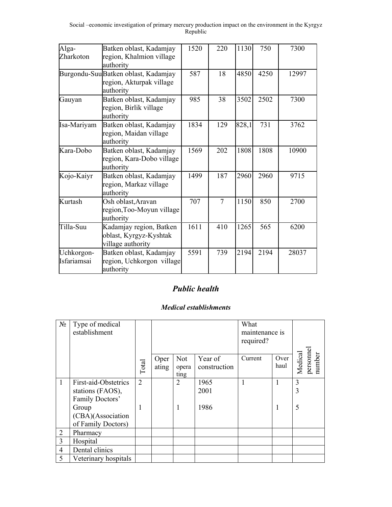| Alga-<br>Zharkoton        | Batken oblast, Kadamjay<br>region, Khalmion village<br>authority             | 1520 | 220 | 1130  | 750  | 7300  |
|---------------------------|------------------------------------------------------------------------------|------|-----|-------|------|-------|
|                           | Burgondu-SuuBatken oblast, Kadamjay<br>region, Akturpak village<br>authority | 587  | 18  | 4850  | 4250 | 12997 |
| Gauyan                    | Batken oblast, Kadamjay<br>region, Birlik village<br>authority               | 985  | 38  | 3502  | 2502 | 7300  |
| Isa-Mariyam               | Batken oblast, Kadamjay<br>region, Maidan village<br>authority               | 1834 | 129 | 828,1 | 731  | 3762  |
| Kara-Dobo                 | Batken oblast, Kadamjay<br>region, Kara-Dobo village<br>authority            | 1569 | 202 | 1808  | 1808 | 10900 |
| Kojo-Kaiyr                | Batken oblast, Kadamjay<br>region, Markaz village<br>authority               | 1499 | 187 | 2960  | 2960 | 9715  |
| Kurtash                   | Osh oblast, Aravan<br>region, Too-Moyun village<br>authority                 | 707  | 7   | 1150  | 850  | 2700  |
| Tilla-Suu                 | Kadamjay region, Batken<br>oblast, Kyrgyz-Kyshtak<br>village authority       | 1611 | 410 | 1265  | 565  | 6200  |
| Uchkorgon-<br>Isfariamsai | Batken oblast, Kadamjay<br>region, Uchkorgon village<br>authority            | 5591 | 739 | 2194  | 2194 | 28037 |

# *Public health*

# *Medical establishments*

| $N_2$          | Type of medical<br>establishment                                                                                |                     |               |                      |                         | What<br>maintenance is<br>required? |              |                               |
|----------------|-----------------------------------------------------------------------------------------------------------------|---------------------|---------------|----------------------|-------------------------|-------------------------------------|--------------|-------------------------------|
|                |                                                                                                                 | Total               | Oper<br>ating | Not<br>opera<br>ting | Year of<br>construction | Current                             | Over<br>haul | persomel<br>number<br>Medical |
| 1              | First-aid-Obstetrics<br>stations (FAOS),<br>Family Doctors'<br>Group<br>(CBA)(Association<br>of Family Doctors) | $\overline{2}$<br>1 |               | 2<br>1               | 1965<br>2001<br>1986    | 1                                   | 1<br>1       | 3<br>3<br>5                   |
| $\overline{2}$ | Pharmacy                                                                                                        |                     |               |                      |                         |                                     |              |                               |
| 3              | Hospital                                                                                                        |                     |               |                      |                         |                                     |              |                               |
| $\overline{4}$ | Dental clinics                                                                                                  |                     |               |                      |                         |                                     |              |                               |
| 5              | Veterinary hospitals                                                                                            |                     |               |                      |                         |                                     |              |                               |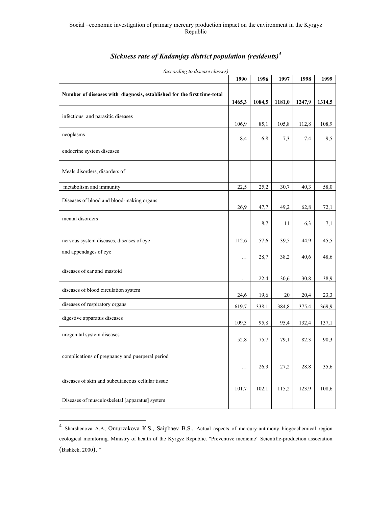# *Sickness rate of Kadamjay district population (residents)<sup>4</sup>*

| according to alsease classes.                                           | 1990   | 1996   | 1997   | 1998   | 1999   |
|-------------------------------------------------------------------------|--------|--------|--------|--------|--------|
| Number of diseases with diagnosis, established for the first time-total | 1465,3 | 1084,5 | 1181,0 | 1247,9 | 1314,5 |
| infectious and parasitic diseases                                       | 106,9  | 85,1   | 105,8  | 112,8  | 108,9  |
| neoplasms                                                               | 8,4    | 6,8    | 7,3    | 7,4    | 9,5    |
| endocrine system diseases                                               |        |        |        |        |        |
| Meals disorders, disorders of                                           |        |        |        |        |        |
| metabolism and immunity                                                 | 22,5   | 25,2   | 30,7   | 40,3   | 58,0   |
| Diseases of blood and blood-making organs                               | 26,9   | 47,7   | 49,2   | 62,8   | 72,1   |
| mental disorders                                                        |        | 8,7    | 11     | 6,3    | 7,1    |
| nervous system diseases, diseases of eye                                | 112,6  | 57,6   | 39,5   | 44,9   | 45,5   |
| and appendages of eye                                                   | .      | 28,7   | 38,2   | 40,6   | 48,6   |
| diseases of ear and mastoid                                             | .      | 22,4   | 30,6   | 30,8   | 38,9   |
| diseases of blood circulation system                                    | 24,6   | 19,6   | 20     | 20,4   | 23,3   |
| diseases of respiratory organs                                          | 619,7  | 338,1  | 384,8  | 375,4  | 369,9  |
| digestive apparatus diseases                                            | 109,3  | 95,8   | 95,4   | 132,4  | 137,1  |
| urogenital system diseases                                              | 52,8   | 75,7   | 79,1   | 82,3   | 90,3   |
| complications of pregnancy and puerperal period                         | .      | 26,3   | 27,2   | 28,8   | 35,6   |
| diseases of skin and subcutaneous cellular tissue                       | 101,7  | 102,1  | 115,2  | 123,9  | 108,6  |
| Diseases of musculoskeletal [apparatus] system                          |        |        |        |        |        |

*(according to disease classes)*

l

<sup>&</sup>lt;sup>4</sup> Sharshenova A.A, Omurzakova K.S., Saipbaev B.S., Actual aspects of mercury-antimony biogeochemical region ecological monitoring. Ministry of health of the Kyrgyz Republic. "Preventive medicine" Scientific-production association (Bishkek, 2000). "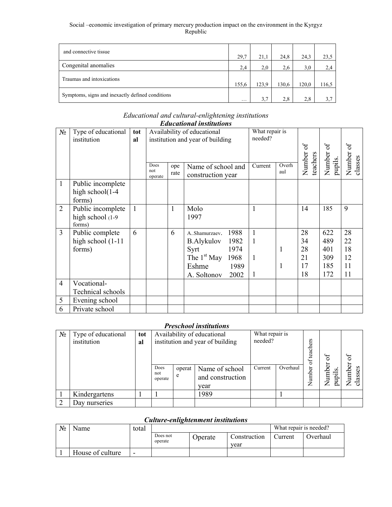| and connective tissue                            | 29,7     | 21,1  | 24,8  | 24.3  | 23,5  |
|--------------------------------------------------|----------|-------|-------|-------|-------|
| Congenital anomalies                             | 2.4      | 2,0   | 2.6   | 3,0   | 2,4   |
| Traumas and intoxications                        | 155,6    | 123,9 | 130,6 | 120,0 | 116.5 |
| Symptoms, signs and inexactly defined conditions | $\cdots$ | 3.7   | 2.8   | 2.8   | 3.7   |

#### *Educational and cultural-enlightening institutions Educational institutions*

|                | <i>L</i> uncunomui insimuons |     |                |                                  |                                 |                |       |                    |                      |         |
|----------------|------------------------------|-----|----------------|----------------------------------|---------------------------------|----------------|-------|--------------------|----------------------|---------|
| $N_2$          | Type of educational          | tot |                |                                  | Availability of educational     | What repair is |       |                    |                      |         |
|                | institution                  | al  |                | institution and year of building |                                 | needed?        |       |                    |                      |         |
|                |                              |     |                |                                  |                                 |                |       | Ъ                  | $\delta$             | 5       |
|                |                              |     |                |                                  |                                 |                |       | Number<br>teachers | Number of<br>pupils. | Number  |
|                |                              |     | Does           | ope                              | Name of school and              | Current        | Overh |                    |                      | classes |
|                |                              |     | not<br>operate | rate                             | construction year               |                | aul   |                    |                      |         |
| $\mathbf{1}$   | Public incomplete            |     |                |                                  |                                 |                |       |                    |                      |         |
|                | high school(1-4              |     |                |                                  |                                 |                |       |                    |                      |         |
|                | forms)                       |     |                |                                  |                                 |                |       |                    |                      |         |
| $\overline{2}$ | Public incomplete            |     |                | 1                                | Molo                            | 1              |       | 14                 | 185                  | 9       |
|                | high school (1-9)            |     |                |                                  | 1997                            |                |       |                    |                      |         |
|                | forms)                       |     |                |                                  |                                 |                |       |                    |                      |         |
| $\overline{3}$ | Public complete              | 6   |                | 6                                | 1988<br>A. Shamurzaev.          | $\mathbf{1}$   |       | 28                 | 622                  | 28      |
|                | high school (1-11            |     |                |                                  | 1982<br><b>B.Alykulov</b>       | $\mathbf{1}$   |       | 34                 | 489                  | 22      |
|                | forms)                       |     |                |                                  | 1974<br>Syrt                    |                | 1     | 28                 | 401                  | 18      |
|                |                              |     |                |                                  | The 1 <sup>st</sup> May<br>1968 | $\mathbf{1}$   |       | 21                 | 309                  | 12      |
|                |                              |     |                |                                  | Eshme<br>1989                   |                | 1     | 17                 | 185                  | 11      |
|                |                              |     |                |                                  | 2002<br>A. Soltonov             | $\mathbf{1}$   |       | 18                 | 172                  | 11      |
| $\overline{4}$ | Vocational-                  |     |                |                                  |                                 |                |       |                    |                      |         |
|                | Technical schools            |     |                |                                  |                                 |                |       |                    |                      |         |
| 5              | Evening school               |     |                |                                  |                                 |                |       |                    |                      |         |
| 6              | Private school               |     |                |                                  |                                 |                |       |                    |                      |         |

## *Preschool institutions*

| $N_2$ | Type of educational<br>institution | tot<br>al |                        | Availability of educational<br>institution and year of building |                                            |         | What repair is | teachers<br>ð | $\sigma$                                                         |                   |
|-------|------------------------------------|-----------|------------------------|-----------------------------------------------------------------|--------------------------------------------|---------|----------------|---------------|------------------------------------------------------------------|-------------------|
|       |                                    |           | Does<br>not<br>operate | operat<br>e                                                     | Name of school<br>and construction<br>year | Current | Overhaul       | Number        | umber<br>pupils.<br>$\mathsf{z}% _{0}\!\left( \mathsf{z}\right)$ | Number<br>classes |
|       | Kindergartens                      |           |                        |                                                                 | 1989                                       |         |                |               |                                                                  |                   |
|       | Day nurseries                      |           |                        |                                                                 |                                            |         |                |               |                                                                  |                   |

# *Culture-enlightenment institutions*

| $N_2$ | Name             | total                    |                     |         | What repair is needed? |         |          |
|-------|------------------|--------------------------|---------------------|---------|------------------------|---------|----------|
|       |                  |                          | Does not<br>operate | Operate | Construction<br>vear   | Current | Overhaul |
|       | House of culture | $\overline{\phantom{0}}$ |                     |         |                        |         |          |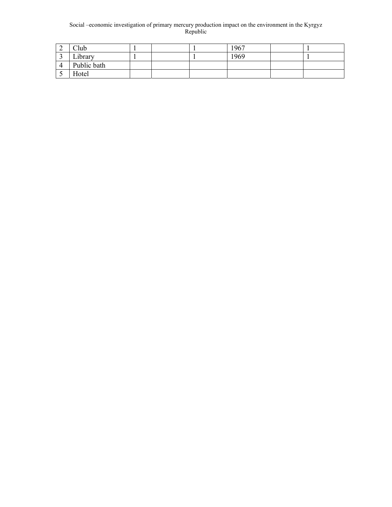| ∠ | Club        |  | 1967 |  |
|---|-------------|--|------|--|
|   | Library     |  | 1969 |  |
|   | Public bath |  |      |  |
|   | Hotel       |  |      |  |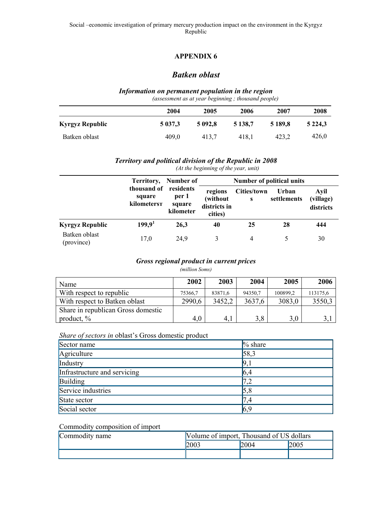# *Batken oblast*

# *Information on permanent population in the region*

*(assessment as at year beginning ; thousand people)* 

|                 | 2004    | 2005    | 2006      | 2007    | 2008        |
|-----------------|---------|---------|-----------|---------|-------------|
| Kyrgyz Republic | 5 037.3 | 5 092.8 | 5 1 38 .7 | 5 189.8 | 5 2 2 4 . 3 |
| Batken oblast   | 409,0   | 413.7   | 418.1     | 423.2   | 426,0       |

# *Territory and political division of the Republic in 2008*

|                             | Territory,                           | Number of                                 |                                                | <b>Number of political units</b> |                      |                                |  |  |  |
|-----------------------------|--------------------------------------|-------------------------------------------|------------------------------------------------|----------------------------------|----------------------|--------------------------------|--|--|--|
|                             | thousand of<br>square<br>kilometerst | residents<br>per 1<br>square<br>kilometer | regions<br>(without<br>districts in<br>cities) | Cities/town<br>s                 | Urban<br>settlements | Avil<br>(village)<br>districts |  |  |  |
| <b>Kyrgyz Republic</b>      | 199.9 <sup>1</sup>                   | 26.3                                      | 40                                             | 25                               | 28                   | 444                            |  |  |  |
| Batken oblast<br>(province) | 17,0                                 | 24,9                                      | 3                                              | 4                                |                      | 30                             |  |  |  |

# *(At the beginning of the year, unit)*

### *Gross regional product in current prices*

### *(million Soms)*

| Name                               | 2002    | 2003    | 2004    | 2005     | 2006     |
|------------------------------------|---------|---------|---------|----------|----------|
| With respect to republic           | 75366.7 | 83871.6 | 94350.7 | 100899.2 | 113175,6 |
| With respect to Batken oblast      | 2990,6  | 3452,2  | 3637,6  | 3083,0   | 3550,3   |
| Share in republican Gross domestic |         |         |         |          |          |
| product, $\%$                      | 4,0     | 4,1     | 3,8     | 3,0      |          |

### *Share of sectors in* oblast's Gross domestic product

| Sector name                  | $\%$ share       |
|------------------------------|------------------|
| Agriculture                  | 58,3             |
| Industry                     | $\mathbf{Q}_{1}$ |
| Infrastructure and servicing | 6, 4             |
| Building                     |                  |
| Service industries           |                  |
| State sector                 | 7,4              |
| Social sector                | 6,9              |

### Commodity composition of import

| Commodity name | Volume of import, Thousand of US dollars |      |      |
|----------------|------------------------------------------|------|------|
|                | 2003                                     | 2004 | 2005 |
|                |                                          |      |      |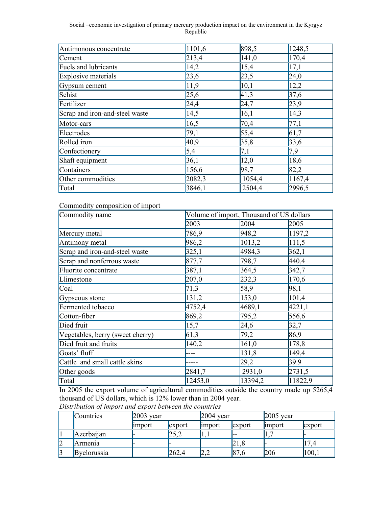| Antimonous concentrate         | 1101,6 | 898,5  | 1248,5 |
|--------------------------------|--------|--------|--------|
| Cement                         | 213,4  | 141,0  | 170,4  |
| Fuels and lubricants           | 14,2   | 15,4   | 17,1   |
| Explosive materials            | 23,6   | 23,5   | 24,0   |
| Gypsum cement                  | 11,9   | 10,1   | 12,2   |
| Schist                         | 25,6   | 41,3   | 37,6   |
| Fertilizer                     | 24,4   | 24,7   | 23,9   |
| Scrap and iron-and-steel waste | 14,5   | 16,1   | 14,3   |
| Motor-cars                     | 16,5   | 70,4   | 77,1   |
| Electrodes                     | 79,1   | 55,4   | 61,7   |
| Rolled iron                    | 40,9   | 35,8   | 33,6   |
| Confectionery                  | 5,4    | 7,1    | 7,9    |
| Shaft equipment                | 36,1   | 12,0   | 18,6   |
| Containers                     | 156,6  | 98,7   | 82,2   |
| Other commodities              | 2082,3 | 1054,4 | 1167,4 |
| Total                          | 3846,1 | 2504,4 | 2996,5 |

Commodity composition of import

| Commodity name                   |         | Volume of import, Thousand of US dollars |         |
|----------------------------------|---------|------------------------------------------|---------|
|                                  | 2003    | 2004                                     | 2005    |
| Mercury metal                    | 786,9   | 948,2                                    | 1197,2  |
| Antimony metal                   | 986,2   | 1013,2                                   | 111,5   |
| Scrap and iron-and-steel waste   | 325,1   | 4984,3                                   | 362,1   |
| Scrap and nonferrous waste       | 877,7   | 798,7                                    | 440,4   |
| Fluorite concentrate             | 387,1   | 364,5                                    | 342,7   |
| Llimestone                       | 207,0   | 232,3                                    | 170,6   |
| $\text{Coal}$                    | 71,3    | 58,9                                     | 98,1    |
| Gypseous stone                   | 131,2   | 153,0                                    | 101,4   |
| Fermented tobacco                | 4752,4  | 4689,1                                   | 4221,1  |
| Cotton-fiber                     | 869,2   | 795,2                                    | 556,6   |
| Died fruit                       | 15,7    | 24,6                                     | 32,7    |
| Vegetables, berry (sweet cherry) | 61,3    | 79,2                                     | 86,9    |
| Died fruit and fruits            | 140,2   | 161,0                                    | 178,8   |
| Goats' fluff                     |         | 131,8                                    | 149,4   |
| Cattle and small cattle skins    |         | 29,2                                     | 39.9    |
| Other goods                      | 2841,7  | 2931,0                                   | 2731,5  |
| Total                            | 12453,0 | 13394,2                                  | 11822,9 |

In 2005 the export volume of agricultural commodities outside the country made up 5265,4 thousand of US dollars, which is 12% lower than in 2004 year.

|   | Countries        | $2003$ year   |              | $2004$ year |        | $2005$ year |        |
|---|------------------|---------------|--------------|-------------|--------|-------------|--------|
|   |                  | <b>import</b> | export       | lmport      | export | limport     | export |
|   | . .<br>Azerbanan |               | つく つ<br>LJ.∠ | 1, 1        | l--    |             |        |
| 2 | Armenia          |               |              |             | 21,8   |             | 17     |
| 3 | Byelorussia      |               | 262,4        | ∠,∠         | 87,6   | 206         | 100,1  |

*Distribution of import and export between the countries*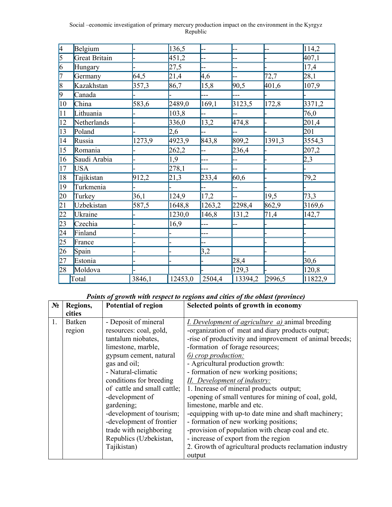| 4               | Belgium       |        | 136,5   |        |         |        | 114,2   |
|-----------------|---------------|--------|---------|--------|---------|--------|---------|
| 5               | Great Britain |        | 451,2   |        |         |        | 407,1   |
| $\vert 6 \vert$ | Hungary       |        | 27,5    |        |         |        | 17,4    |
| 17              | Germany       | 64,5   | 21,4    | 4,6    | --      | 72,7   | 28,1    |
| $\overline{8}$  | Kazakhstan    | 357,3  | 86,7    | 15,8   | 90,5    | 401,6  | 107,9   |
| $\vert 9 \vert$ | Canada        |        |         | ---    | ---     |        |         |
| $ 10\rangle$    | China         | 583,6  | 2489,0  | 169,1  | 3123,5  | 172,8  | 3371,2  |
| 11              | Lithuania     |        | 103,8   | --     |         |        | 76,0    |
| 12              | Netherlands   |        | 336,0   | 13,2   | 474,8   |        | 201,4   |
| 13              | Poland        |        | 2,6     |        |         |        | 201     |
| 14              | Russia        | 1273,9 | 4923,9  | 843,8  | 809,2   | 1391,3 | 3554,3  |
| 15              | Romania       |        | 262,2   |        | 236,4   |        | 207,2   |
| 16              | Saudi Arabia  |        | 1,9     | ---    |         |        | 2,3     |
| 17              | <b>USA</b>    |        | 278,1   |        |         |        |         |
| $\overline{18}$ | Tajikistan    | 912,2  | 21,3    | 233,4  | 60,6    |        | 79,2    |
| 19              | Turkmenia     |        |         |        |         |        |         |
| 20              | Turkey        | 36,1   | 124,9   | 17,2   |         | 19,5   | 73,3    |
| $\overline{21}$ | Uzbekistan    | 587,5  | 1648,8  | 1263,2 | 2298,4  | 862,9  | 3169,6  |
| 22              | Ukraine       |        | 1230,0  | 146,8  | 131,2   | 71,4   | 142,7   |
| $\overline{23}$ | Czechia       |        | 16,9    | ---    |         |        |         |
| $\overline{24}$ | Finland       |        |         | ---    |         |        |         |
| $\overline{25}$ | France        |        |         |        |         |        |         |
| 26              | Spain         |        |         | 3,2    |         |        |         |
| 27              | Estonia       |        |         |        | 28,4    |        | 30,6    |
| 28              | Moldova       |        |         |        | 129,3   |        | 120,8   |
|                 | Total         | 3846,1 | 12453,0 | 2504,4 | 13394,2 | 2996,5 | 11822,9 |

# *Points of growth with respect to regions and cities of the oblast (province)*

| $N_2$ | Regions,      | <b>Potential of region</b>  | Selected points of growth in economy                    |
|-------|---------------|-----------------------------|---------------------------------------------------------|
|       | cities        |                             |                                                         |
| 1.    | <b>Batken</b> | - Deposit of mineral        | <i>I. Development of agriculture a)</i> animal breeding |
|       | region        | resources: coal, gold,      | -organization of meat and diary products output;        |
|       |               | tantalum niobates,          | -rise of productivity and improvement of animal breeds; |
|       |               | limestone, marble,          | -formation of forage resources;                         |
|       |               | gypsum cement, natural      | 6) crop production:                                     |
|       |               | gas and oil;                | - Agricultural production growth:                       |
|       |               | - Natural-climatic          | - formation of new working positions;                   |
|       |               | conditions for breeding     | II. Development of industry:                            |
|       |               | of cattle and small cattle; | 1. Increase of mineral products output;                 |
|       |               | -development of             | -opening of small ventures for mining of coal, gold,    |
|       |               | gardening;                  | limestone, marble and etc.                              |
|       |               | -development of tourism;    | -equipping with up-to date mine and shaft machinery;    |
|       |               | -development of frontier    | - formation of new working positions;                   |
|       |               | trade with neighboring      | -provision of population with cheap coal and etc.       |
|       |               | Republics (Uzbekistan,      | - increase of export from the region                    |
|       |               | Tajikistan)                 | 2. Growth of agricultural products reclamation industry |
|       |               |                             | output                                                  |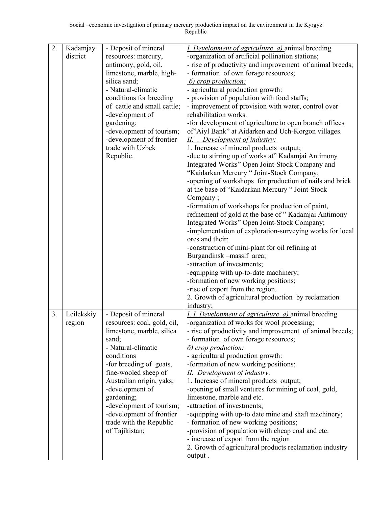| 2. | Kadamjay             | - Deposit of mineral        | I. Development of agriculture a) animal breeding                                                   |
|----|----------------------|-----------------------------|----------------------------------------------------------------------------------------------------|
|    | district             | resources: mercury,         | -organization of artificial pollination stations;                                                  |
|    |                      | antimony, gold, oil,        | - rise of productivity and improvement of animal breeds;                                           |
|    |                      | limestone, marble, high-    | - formation of own forage resources;                                                               |
|    |                      | silica sand;                | $\delta$ ) crop production:                                                                        |
|    |                      | - Natural-climatic          | - agricultural production growth:                                                                  |
|    |                      | conditions for breeding     | - provision of population with food staffs;                                                        |
|    |                      | of cattle and small cattle; | - improvement of provision with water, control over                                                |
|    |                      | -development of             | rehabilitation works.                                                                              |
|    |                      | gardening;                  | -for development of agriculture to open branch offices                                             |
|    |                      | -development of tourism;    | of"Aiyl Bank" at Aidarken and Uch-Korgon villages.                                                 |
|    |                      | -development of frontier    | II. Development of industry:                                                                       |
|    |                      | trade with Uzbek            | 1. Increase of mineral products output;                                                            |
|    |                      | Republic.                   | -due to stirring up of works at" Kadamjai Antimony                                                 |
|    |                      |                             | Integrated Works" Open Joint-Stock Company and                                                     |
|    |                      |                             | "Kaidarkan Mercury " Joint-Stock Company;                                                          |
|    |                      |                             | -opening of workshops for production of nails and brick                                            |
|    |                      |                             | at the base of "Kaidarkan Mercury " Joint-Stock                                                    |
|    |                      |                             | Company;                                                                                           |
|    |                      |                             | -formation of workshops for production of paint,                                                   |
|    |                      |                             | refinement of gold at the base of "Kadamjai Antimony                                               |
|    |                      |                             | Integrated Works" Open Joint-Stock Company;                                                        |
|    |                      |                             | -implementation of exploration-surveying works for local                                           |
|    |                      |                             | ores and their;                                                                                    |
|    |                      |                             | -construction of mini-plant for oil refining at                                                    |
|    |                      |                             | Burgandinsk-massif area;                                                                           |
|    |                      |                             | -attraction of investments;                                                                        |
|    |                      |                             | -equipping with up-to-date machinery;                                                              |
|    |                      |                             | -formation of new working positions;                                                               |
|    |                      |                             | -rise of export from the region.                                                                   |
|    |                      |                             | 2. Growth of agricultural production by reclamation                                                |
| 3. |                      | - Deposit of mineral        | industry;                                                                                          |
|    | Leilekskiy<br>region | resources: coal, gold, oil, | I. I. Development of agriculture a) animal breeding<br>-organization of works for wool processing; |
|    |                      | limestone, marble, silica   | - rise of productivity and improvement of animal breeds;                                           |
|    |                      | sand;                       | - formation of own forage resources;                                                               |
|    |                      | - Natural-climatic          | <u><i><b>6</b></i></u> <i>crop production:</i>                                                     |
|    |                      | conditions                  | - agricultural production growth:                                                                  |
|    |                      | -for breeding of goats,     | -formation of new working positions;                                                               |
|    |                      | fine-wooled sheep of        | II. Development of industry:                                                                       |
|    |                      | Australian origin, yaks;    | 1. Increase of mineral products output;                                                            |
|    |                      | -development of             | -opening of small ventures for mining of coal, gold,                                               |
|    |                      | gardening;                  | limestone, marble and etc.                                                                         |
|    |                      | -development of tourism;    | -attraction of investments;                                                                        |
|    |                      | -development of frontier    | -equipping with up-to date mine and shaft machinery;                                               |
|    |                      | trade with the Republic     | - formation of new working positions;                                                              |
|    |                      | of Tajikistan;              | -provision of population with cheap coal and etc.                                                  |
|    |                      |                             | - increase of export from the region                                                               |
|    |                      |                             | 2. Growth of agricultural products reclamation industry                                            |
|    |                      |                             | output.                                                                                            |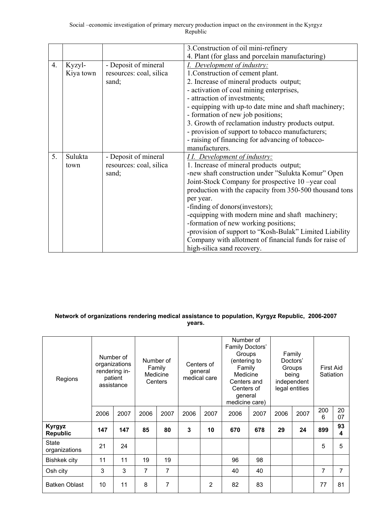|    |           |                         | 3. Construction of oil mini-refinery                    |
|----|-----------|-------------------------|---------------------------------------------------------|
|    |           |                         | 4. Plant (for glass and porcelain manufacturing)        |
| 4. | Kyzyl-    | - Deposit of mineral    | I. Development of industry:                             |
|    | Kiya town | resources: coal, silica | 1. Construction of cement plant.                        |
|    |           | sand;                   | 2. Increase of mineral products output;                 |
|    |           |                         | - activation of coal mining enterprises,                |
|    |           |                         | - attraction of investments;                            |
|    |           |                         | - equipping with up-to date mine and shaft machinery;   |
|    |           |                         | - formation of new job positions;                       |
|    |           |                         | 3. Growth of reclamation industry products output.      |
|    |           |                         | - provision of support to tobacco manufacturers;        |
|    |           |                         | - raising of financing for advancing of tobacco-        |
|    |           |                         | manufacturers.                                          |
| 5. | Sulukta   | - Deposit of mineral    | <b>II.</b> Development of industry:                     |
|    | town      | resources: coal, silica | 1. Increase of mineral products output;                 |
|    |           | sand;                   | -new shaft construction under "Sulukta Komur" Open      |
|    |           |                         | Joint-Stock Company for prospective 10 -year coal       |
|    |           |                         | production with the capacity from 350-500 thousand tons |
|    |           |                         | per year.                                               |
|    |           |                         | -finding of donors (investors);                         |
|    |           |                         | -equipping with modern mine and shaft machinery;        |
|    |           |                         | -formation of new working positions;                    |
|    |           |                         | -provision of support to "Kosh-Bulak" Limited Liability |
|    |           |                         | Company with allotment of financial funds for raise of  |
|    |           |                         | high-silica sand recovery.                              |

### **Network of organizations rendering medical assistance to population, Kyrgyz Republic, 2006-2007 years.**

| Regions                          |      | Number of<br>organizations<br>rendering in-<br>patient<br>assistance |      | Number of<br>Family<br>Medicine<br>Centers |      | Number of<br>Family Doctors'<br>Groups<br>(entering to<br>Centers of<br>Family<br>general<br>Medicine<br>medical care<br>Centers and<br>Centers of<br>general<br>medicine care) |      |      | Family<br>Doctors'<br>Groups<br>being<br>independent<br>legal entities |      | First Aid<br>Satiation |          |
|----------------------------------|------|----------------------------------------------------------------------|------|--------------------------------------------|------|---------------------------------------------------------------------------------------------------------------------------------------------------------------------------------|------|------|------------------------------------------------------------------------|------|------------------------|----------|
|                                  | 2006 | 2007                                                                 | 2006 | 2007                                       | 2006 | 2007                                                                                                                                                                            | 2006 | 2007 | 2006                                                                   | 2007 | 200<br>6               | 20<br>07 |
| <b>Kyrgyz</b><br><b>Republic</b> | 147  | 147                                                                  | 85   | 80                                         | 3    | 10                                                                                                                                                                              | 670  | 678  | 29                                                                     | 24   | 899                    | 93<br>4  |
| <b>State</b><br>organizations    | 21   | 24                                                                   |      |                                            |      |                                                                                                                                                                                 |      |      |                                                                        |      | 5                      | 5        |
| Bishkek city                     | 11   | 11                                                                   | 19   | 19                                         |      |                                                                                                                                                                                 | 96   | 98   |                                                                        |      |                        |          |
| Osh city                         | 3    | 3                                                                    | 7    | 7                                          |      |                                                                                                                                                                                 | 40   | 40   |                                                                        |      | 7                      | 7        |
| <b>Batken Oblast</b>             | 10   | 11                                                                   | 8    | 7                                          |      | 2                                                                                                                                                                               | 82   | 83   |                                                                        |      | 77                     | 81       |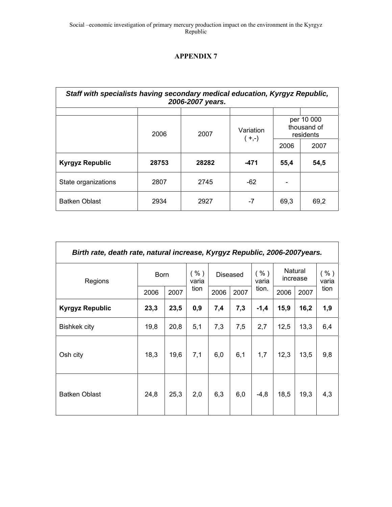| Staff with specialists having secondary medical education, Kyrgyz Republic, |       | 2006-2007 years. |                      |      |                                        |
|-----------------------------------------------------------------------------|-------|------------------|----------------------|------|----------------------------------------|
|                                                                             | 2006  | 2007             | Variation<br>$(+,-)$ |      | per 10 000<br>thousand of<br>residents |
|                                                                             |       |                  |                      | 2006 | 2007                                   |
| <b>Kyrgyz Republic</b>                                                      | 28753 | 28282            | $-471$               | 55,4 | 54,5                                   |
| State organizations                                                         | 2807  | 2745             | $-62$                |      |                                        |
| <b>Batken Oblast</b>                                                        | 2934  | 2927             | $-7$                 | 69.3 | 69,2                                   |

| Birth rate, death rate, natural increase, Kyrgyz Republic, 2006-2007years. |             |      |               |      |                 |               |      |                     |               |
|----------------------------------------------------------------------------|-------------|------|---------------|------|-----------------|---------------|------|---------------------|---------------|
| Regions                                                                    | <b>Born</b> |      | ( %)<br>varia |      | <b>Diseased</b> | ( %)<br>varia |      | Natural<br>increase | ( %)<br>varia |
|                                                                            | 2006        | 2007 | tion          | 2006 | 2007            | tion.         | 2006 | 2007                | tion          |
| <b>Kyrgyz Republic</b>                                                     | 23,3        | 23,5 | 0,9           | 7,4  | 7,3             | $-1,4$        | 15,9 | 16,2                | 1,9           |
| <b>Bishkek city</b>                                                        | 19,8        | 20,8 | 5,1           | 7,3  | 7,5             | 2,7           | 12,5 | 13,3                | 6,4           |
| Osh city                                                                   | 18,3        | 19,6 | 7,1           | 6,0  | 6,1             | 1,7           | 12,3 | 13,5                | 9,8           |
| <b>Batken Oblast</b>                                                       | 24,8        | 25,3 | 2,0           | 6,3  | 6,0             | $-4,8$        | 18,5 | 19,3                | 4,3           |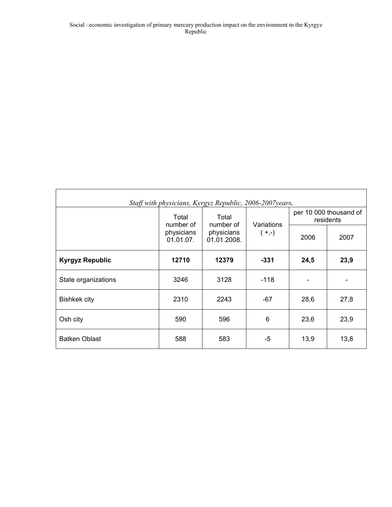|                        |                         | Staff with physicians, Kyrgyz Republic, 2006-2007years. |            |      |                                     |
|------------------------|-------------------------|---------------------------------------------------------|------------|------|-------------------------------------|
|                        | Total<br>number of      | Total<br>number of                                      | Variations |      | per 10 000 thousand of<br>residents |
|                        | physicians<br>01.01.07. | physicians<br>01.01.2008.                               | $(+,-)$    | 2006 | 2007                                |
| <b>Kyrgyz Republic</b> | 12710                   | 12379                                                   | $-331$     | 24,5 | 23,9                                |
| State organizations    | 3246                    | 3128                                                    | $-118$     |      |                                     |
| <b>Bishkek city</b>    | 2310                    | 2243                                                    | $-67$      | 28,6 | 27,8                                |
| Osh city               | 590                     | 596                                                     | 6          | 23,6 | 23,9                                |
| <b>Batken Oblast</b>   | 588                     | 583                                                     | -5         | 13,9 | 13,8                                |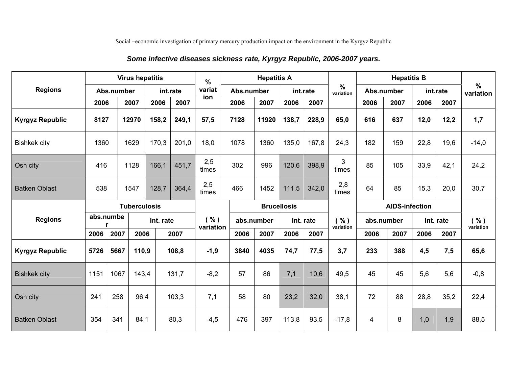# *Some infective diseases sickness rate, Kyrgyz Republic, 2006-2007 years.*

|                        |                               |            | <b>Virus hepatitis</b> |              |          | $\frac{0}{0}$                                                                   |            | <b>Hepatitis A</b> |              |                   |                            |                       | <b>Hepatitis B</b> |      |          |                   |
|------------------------|-------------------------------|------------|------------------------|--------------|----------|---------------------------------------------------------------------------------|------------|--------------------|--------------|-------------------|----------------------------|-----------------------|--------------------|------|----------|-------------------|
| <b>Regions</b>         |                               | Abs.number |                        |              | int.rate | variat                                                                          | Abs.number |                    |              | int.rate          | $\frac{0}{0}$<br>variation | Abs.number            |                    |      | int.rate | $\%$<br>variation |
|                        | 2006                          |            | 2007                   | 2006         | 2007     | ion                                                                             | 2006       | 2007               | 2006         | 2007              |                            | 2006                  | 2007               | 2006 | 2007     |                   |
| <b>Kyrgyz Republic</b> | 8127                          |            | 12970                  | 158,2        | 249,1    | 57,5                                                                            | 7128       | 11920              | 138,7        | 228,9             | 65,0                       | 616                   | 637                | 12,0 | 12,2     | 1,7               |
| <b>Bishkek city</b>    | 1360                          |            | 1629                   | 170,3        | 201,0    | 18,0                                                                            | 1078       | 1360               | 135,0        | 167,8             | 24,3                       | 182                   | 159                | 22,8 | 19,6     | $-14,0$           |
| Osh city               | 416                           |            | 1128                   | 166,1        | 451,7    | 2,5<br>times                                                                    | 302        | 996                | 120,6        | 398,9             | 3<br>times                 | 85                    | 105                | 33,9 | 42,1     | 24,2              |
| <b>Batken Oblast</b>   | 538<br>1547<br>128,7<br>364,4 |            |                        | 2,5<br>times | 466      | 1452                                                                            | 111,5      | 342,0              | 2,8<br>times | 64                | 85                         | 15,3                  | 20,0               | 30,7 |          |                   |
|                        | <b>Tuberculosis</b>           |            |                        |              |          | <b>Brucellosis</b>                                                              |            |                    |              |                   |                            | <b>AIDS-infection</b> |                    |      |          |                   |
| <b>Regions</b>         | abs.numbe<br>r                |            |                        | Int. rate    |          | ( %)<br>( %)<br>abs.number<br>Int. rate<br>abs.number<br>variation<br>variation |            |                    | Int. rate    | ( %)<br>variation |                            |                       |                    |      |          |                   |
|                        | 2006                          | 2007       | 2006                   |              | 2007     |                                                                                 | 2006       | 2007               | 2006         | 2007              |                            | 2006                  | 2007               | 2006 | 2007     |                   |
| <b>Kyrgyz Republic</b> | 5726                          | 5667       | 110,9                  |              | 108,8    | $-1,9$                                                                          | 3840       | 4035               | 74,7         | 77,5              | 3,7                        | 233                   | 388                | 4,5  | 7,5      | 65,6              |
| <b>Bishkek city</b>    | 1151                          | 1067       | 143,4                  |              | 131,7    | $-8,2$                                                                          | 57         | 86                 | 7,1          | 10,6              | 49,5                       | 45                    | 45                 | 5,6  | 5,6      | $-0,8$            |
| Osh city               | 241                           | 258        | 96,4                   |              | 103,3    | 7,1                                                                             | 58         | 80                 | 23,2         | 32,0              | 38,1                       | 72                    | 88                 | 28,8 | 35,2     | 22,4              |
| <b>Batken Oblast</b>   | 354                           | 341        | 84,1                   |              | 80,3     | $-4,5$                                                                          | 476        | 397                | 113,8        | 93,5              | $-17,8$                    | 4                     | 8                  | 1,0  | 1,9      | 88,5              |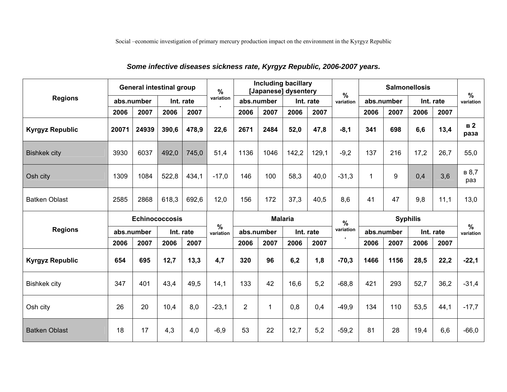|                        |            | <b>General intestinal group</b> |           |           | $\%$                       |                |                | <b>Including bacillary</b><br>[Japanese] dysentery |           | $\frac{0}{0}$ |             |            | <b>Salmonellosis</b> |           | $\frac{0}{0}$          |
|------------------------|------------|---------------------------------|-----------|-----------|----------------------------|----------------|----------------|----------------------------------------------------|-----------|---------------|-------------|------------|----------------------|-----------|------------------------|
| <b>Regions</b>         |            | abs.number                      |           | Int. rate | variation                  |                | abs.number     |                                                    | Int. rate | variation     |             | abs.number |                      | Int. rate | variation              |
|                        | 2006       | 2007                            | 2006      | 2007      |                            | 2006           | 2007           | 2006                                               | 2007      |               | 2006        | 2007       | 2006                 | 2007      |                        |
| <b>Kyrgyz Republic</b> | 20071      | 24939                           | 390,6     | 478,9     | 22,6                       | 2671           | 2484           | 52,0                                               | 47,8      | $-8,1$        | 341         | 698        | 6,6                  | 13,4      | B <sub>2</sub><br>раза |
| <b>Bishkek city</b>    | 3930       | 6037                            | 492,0     | 745,0     | 51,4                       | 1136           | 1046           | 142,2                                              | 129,1     | $-9,2$        | 137         | 216        | 17,2                 | 26,7      | 55,0                   |
| Osh city               | 1309       | 1084                            | 522,8     | 434,1     | $-17,0$                    | 146            | 100            | 58,3                                               | 40,0      | $-31.3$       | $\mathbf 1$ | 9          | 0,4                  | 3,6       | в 8,7<br>раз           |
| <b>Batken Oblast</b>   | 2585       | 2868                            | 618,3     | 692,6     | 12,0                       | 156            | 172            | 37,3                                               | 40,5      | 8,6           | 41          | 47         | 9,8                  | 11,1      | 13,0                   |
|                        |            |                                 |           |           |                            |                |                |                                                    |           |               |             |            |                      |           |                        |
|                        |            | <b>Echinococcosis</b>           |           |           |                            |                | <b>Malaria</b> |                                                    |           | $\frac{0}{0}$ |             |            | <b>Syphilis</b>      |           |                        |
| <b>Regions</b>         | abs.number |                                 | Int. rate |           | $\frac{0}{0}$<br>variation |                | abs.number     |                                                    | Int. rate | variation     |             | abs.number |                      | Int. rate | $\%$<br>variation      |
|                        | 2006       | 2007                            | 2006      | 2007      |                            | 2006           | 2007           | 2006                                               | 2007      |               | 2006        | 2007       | 2006                 | 2007      |                        |
| <b>Kyrgyz Republic</b> | 654        | 695                             | 12,7      | 13,3      | 4,7                        | 320            | 96             | 6,2                                                | 1,8       | $-70,3$       | 1466        | 1156       | 28,5                 | 22,2      | $-22,1$                |
| <b>Bishkek city</b>    | 347        | 401                             | 43,4      | 49.5      | 14,1                       | 133            | 42             | 16,6                                               | 5,2       | $-68,8$       | 421         | 293        | 52,7                 | 36,2      | $-31,4$                |
| Osh city               | 26         | 20                              | 10,4      | 8,0       | $-23,1$                    | $\overline{2}$ | 1              | 0,8                                                | 0,4       | $-49.9$       | 134         | 110        | 53,5                 | 44,1      | $-17.7$                |

# *Some infective diseases sickness rate, Kyrgyz Republic, 2006-2007 years.*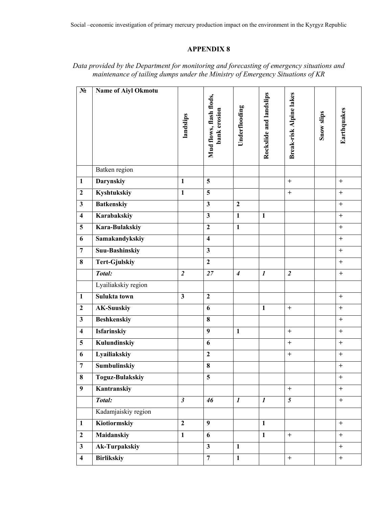| $N_2$                   | <b>Name of Aiyl Okmotu</b> | landslips               | Mud flows, flash flods,<br>bank erosion | Underflooding    | Rockslide and landslips | Break-risk Alpine lakes | <b>Snow slips</b> | Earthquakes      |
|-------------------------|----------------------------|-------------------------|-----------------------------------------|------------------|-------------------------|-------------------------|-------------------|------------------|
|                         | Batken region              |                         |                                         |                  |                         |                         |                   |                  |
| $\mathbf{1}$            | <b>Darynskiy</b>           | $\mathbf{1}$            | 5                                       |                  |                         | $+$                     |                   | $+$              |
| $\overline{2}$          | Kyshtukskiy                | $\mathbf{1}$            | $\overline{\mathbf{5}}$                 |                  |                         | $\ddot{}$               |                   | $+$              |
| $\overline{\mathbf{3}}$ | <b>Batkenskiy</b>          |                         | $\overline{\mathbf{3}}$                 | $\overline{2}$   |                         |                         |                   | $\ddot{}$        |
| $\overline{\mathbf{4}}$ | Karabakskiy                |                         | $\overline{\mathbf{3}}$                 | $\mathbf{1}$     | $\mathbf{1}$            |                         |                   | $\ddot{}$        |
| $\overline{5}$          | Kara-Bulakskiy             |                         | $\overline{2}$                          | $\mathbf{1}$     |                         |                         |                   | $\ddot{}$        |
| 6                       | Samakandykskiy             |                         | $\overline{\mathbf{4}}$                 |                  |                         |                         |                   | $\ddot{}$        |
| $\overline{7}$          | <b>Suu-Bashinskiy</b>      |                         | $\overline{\mathbf{3}}$                 |                  |                         |                         |                   | $\ddot{}$        |
| 8                       | <b>Tert-Gjulskiy</b>       |                         | $\overline{2}$                          |                  |                         |                         |                   | $\ddot{}$        |
|                         | Total:                     | $\overline{2}$          | 27                                      | $\overline{4}$   | $\boldsymbol{l}$        | $\overline{2}$          |                   | $\boldsymbol{+}$ |
|                         | Lyailiakskiy region        |                         |                                         |                  |                         |                         |                   |                  |
| $\mathbf{1}$            | Sulukta town               | $\overline{\mathbf{3}}$ | $\overline{2}$                          |                  |                         |                         |                   | $\ddot{}$        |
| $\overline{2}$          | <b>AK-Suuskiy</b>          |                         | 6                                       |                  | $\mathbf{1}$            | $\ddot{}$               |                   | $+$              |
| $\overline{\mathbf{3}}$ | <b>Beshkenskiy</b>         |                         | $\overline{\mathbf{8}}$                 |                  |                         |                         |                   | $\ddot{}$        |
| $\overline{\mathbf{4}}$ | <b>Isfarinskiy</b>         |                         | $\overline{9}$                          | $\mathbf{1}$     |                         | $\ddot{}$               |                   | $+$              |
| $\overline{5}$          | Kulundinskiy               |                         | 6                                       |                  |                         | $\ddot{}$               |                   | $+$              |
| 6                       | Lyailiakskiy               |                         | $\overline{2}$                          |                  |                         | $\qquad \qquad +$       |                   | $+$              |
| $\overline{7}$          | Sumbulinskiy               |                         | $\overline{\bf 8}$                      |                  |                         |                         |                   | $\ddot{}$        |
| 8                       | <b>Toguz-Bulakskiy</b>     |                         | 5                                       |                  |                         |                         |                   | $\boldsymbol{+}$ |
| $\overline{9}$          | Kantranskiy                |                         |                                         |                  |                         | $+$                     |                   | $+$              |
|                         | Total:                     | $\mathfrak{z}$          | 46                                      | $\boldsymbol{I}$ | $\boldsymbol{l}$        | $\overline{5}$          |                   | $+$              |
|                         | Kadamjaiskiy region        |                         |                                         |                  |                         |                         |                   |                  |
| $\mathbf{1}$            | Kiotiormskiy               | $\overline{2}$          | $\overline{9}$                          |                  | $\mathbf{1}$            |                         |                   | $+$              |
| $\overline{2}$          | <b>Maidanskiy</b>          | $\mathbf{1}$            | 6                                       |                  | $\mathbf{1}$            | $+$                     |                   | $+$              |
| $\overline{\mathbf{3}}$ | <b>Ak-Turpakskiy</b>       |                         | $\overline{\mathbf{3}}$                 | $\mathbf{1}$     |                         |                         |                   | $+$              |
| $\overline{\mathbf{4}}$ | <b>Birlikskiy</b>          |                         | $\overline{7}$                          | $\mathbf{1}$     |                         | $+$                     |                   | $+$              |

# *Data provided by the Department for monitoring and forecasting of emergency situations and maintenance of tailing dumps under the Ministry of Emergency Situations of KR*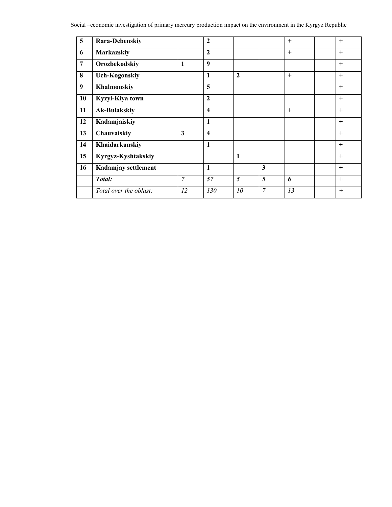| $\overline{5}$ | Rara-Debenskiy         |                | $\overline{2}$          |                |                | $+$ | $+$ |
|----------------|------------------------|----------------|-------------------------|----------------|----------------|-----|-----|
| 6              | Markazskiy             |                | $\overline{2}$          |                |                | $+$ | $+$ |
| $\overline{7}$ | Orozbekodskiy          | $\mathbf{1}$   | 9                       |                |                |     | $+$ |
| 8              | <b>Uch-Kogonskiy</b>   |                | 1                       | $\overline{2}$ |                | $+$ | $+$ |
| 9              | Khalmonskiy            |                | 5                       |                |                |     | $+$ |
| 10             | Kyzyl-Kiya town        |                | $\overline{2}$          |                |                |     | $+$ |
| 11             | <b>Ak-Bulakskiy</b>    |                | $\overline{\mathbf{4}}$ |                |                | $+$ | $+$ |
| 12             | Kadamjaiskiy           |                | 1                       |                |                |     | $+$ |
| 13             | Chauvaiskiy            | 3              | $\overline{\mathbf{4}}$ |                |                |     | $+$ |
| 14             | Khaidarkanskiy         |                | 1                       |                |                |     | $+$ |
| 15             | Kyrgyz-Kyshtakskiy     |                |                         | $\mathbf{1}$   |                |     | $+$ |
| 16             | Kadamjay settlement    |                | 1                       |                | 3              |     | $+$ |
|                | Total:                 | $\overline{7}$ | 57                      | 5              | 5              | 6   | $+$ |
|                | Total over the oblast: | 12             | 130                     | 10             | $\overline{7}$ | 13  | $+$ |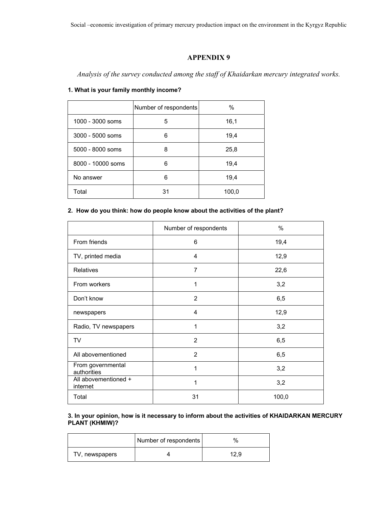*Analysis of the survey conducted among the staff of Khaidarkan mercury integrated works.* 

### **1. What is your family monthly income?**

|                   | Number of respondents | %     |
|-------------------|-----------------------|-------|
| 1000 - 3000 soms  | 5                     | 16,1  |
| 3000 - 5000 soms  | 6                     | 19,4  |
| 5000 - 8000 soms  | 8                     | 25,8  |
| 8000 - 10000 soms | 6                     | 19,4  |
| No answer         | 6                     | 19,4  |
| Total             | 31                    | 100,0 |

### **2. How do you think: how do people know about the activities of the plant?**

|                                  | Number of respondents | $\%$  |
|----------------------------------|-----------------------|-------|
| From friends                     | 6                     | 19,4  |
| TV, printed media                | $\overline{4}$        | 12,9  |
| Relatives                        | 7                     | 22,6  |
| From workers                     | 1                     | 3,2   |
| Don't know                       | $\overline{2}$        | 6,5   |
| newspapers                       | 4                     | 12,9  |
| Radio, TV newspapers             | 1                     | 3,2   |
| TV                               | $\overline{2}$        | 6,5   |
| All abovementioned               | $\overline{2}$        | 6,5   |
| From governmental<br>authorities | 1                     | 3,2   |
| All abovementioned +<br>internet | 1                     | 3,2   |
| Total                            | 31                    | 100,0 |

#### **3. In your opinion, how is it necessary to inform about the activities of KHAIDARKAN MERCURY PLANT (KHMIW)?**

|                | Number of respondents | $\%$ |
|----------------|-----------------------|------|
| TV, newspapers |                       | 12.9 |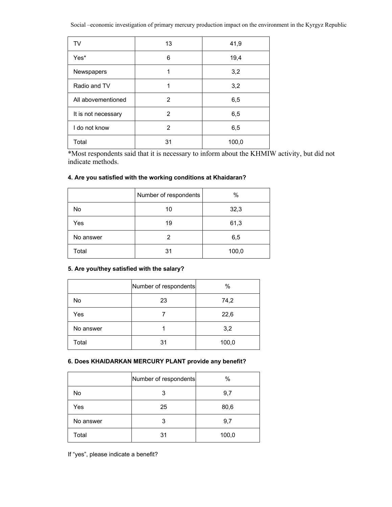| TV                  | 13 | 41,9  |
|---------------------|----|-------|
| Yes*                | 6  | 19,4  |
| Newspapers          | 1  | 3,2   |
| Radio and TV        | 1  | 3,2   |
| All abovementioned  | 2  | 6,5   |
| It is not necessary | 2  | 6,5   |
| I do not know       | 2  | 6,5   |
| Total               | 31 | 100,0 |

\*Most respondents said that it is necessary to inform about the KHMIW activity, but did not indicate methods.

|  | 4. Are you satisfied with the working conditions at Khaidaran? |  |  |  |
|--|----------------------------------------------------------------|--|--|--|
|--|----------------------------------------------------------------|--|--|--|

|           | Number of respondents | $\%$  |
|-----------|-----------------------|-------|
| No        | 10                    | 32,3  |
| Yes       | 19                    | 61,3  |
| No answer | 2                     | 6,5   |
| Total     | 31                    | 100,0 |

# **5. Are you/they satisfied with the salary?**

|           | Number of respondents | $\%$  |
|-----------|-----------------------|-------|
| No        | 23                    | 74,2  |
| Yes       |                       | 22,6  |
| No answer |                       | 3,2   |
| Total     | 31                    | 100,0 |

### **6. Does KHAIDARKAN MERCURY PLANT provide any benefit?**

|           | Number of respondents | $\%$  |
|-----------|-----------------------|-------|
| No        | 3                     | 9,7   |
| Yes       | 25                    | 80,6  |
| No answer | 3                     | 9,7   |
| Total     | 31                    | 100,0 |

If "yes", please indicate a benefit?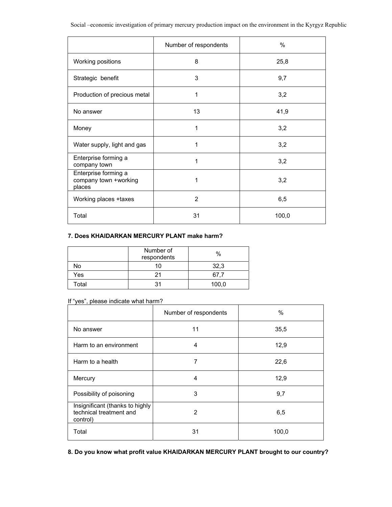|                                                         | Number of respondents | $\%$  |
|---------------------------------------------------------|-----------------------|-------|
| Working positions                                       | 8                     | 25,8  |
| Strategic benefit                                       | 3                     | 9,7   |
| Production of precious metal                            | 1                     | 3,2   |
| No answer                                               | 13                    | 41,9  |
| Money                                                   | 1                     | 3,2   |
| Water supply, light and gas                             | 1                     | 3,2   |
| Enterprise forming a<br>company town                    | 1                     | 3,2   |
| Enterprise forming a<br>company town +working<br>places | 1                     | 3,2   |
| Working places + taxes                                  | $\overline{2}$        | 6,5   |
| Total                                                   | 31                    | 100,0 |

### **7. Does KHAIDARKAN MERCURY PLANT make harm?**

|       | Number of<br>respondents | $\%$  |
|-------|--------------------------|-------|
| No    |                          | 32,3  |
| Yes   |                          | 67,7  |
| Total | 31                       | 100,0 |

### If "yes", please indicate what harm?

|                                                                        | Number of respondents | $\%$  |
|------------------------------------------------------------------------|-----------------------|-------|
| No answer                                                              | 11                    | 35,5  |
| Harm to an environment                                                 | 4                     | 12,9  |
| Harm to a health                                                       | 7                     | 22,6  |
| Mercury                                                                | 4                     | 12,9  |
| Possibility of poisoning                                               | 3                     | 9,7   |
| Insignificant (thanks to highly<br>technical treatment and<br>control) | 2                     | 6,5   |
| Total                                                                  | 31                    | 100,0 |

**8. Do you know what profit value KHAIDARKAN MERCURY PLANT brought to our country?**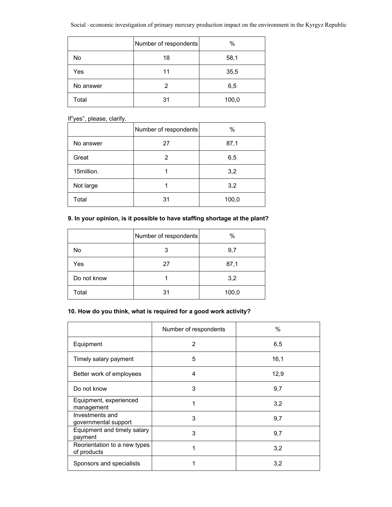|           | Number of respondents | $\%$  |
|-----------|-----------------------|-------|
| No        | 18                    | 58,1  |
| Yes       | 11                    | 35,5  |
| No answer | 2                     | 6,5   |
| Total     | 31                    | 100,0 |

If"yes", please, clarify.

|            | Number of respondents | %     |
|------------|-----------------------|-------|
| No answer  | 27                    | 87,1  |
| Great      | 2                     | 6,5   |
| 15million. |                       | 3,2   |
| Not large  |                       | 3,2   |
| Total      | 31                    | 100,0 |

### **9. In your opinion, is it possible to have staffing shortage at the plant?**

|             | Number of respondents | $\%$  |
|-------------|-----------------------|-------|
| No          | 3                     | 9,7   |
| Yes         | 27                    | 87,1  |
| Do not know |                       | 3,2   |
| Total       | 31                    | 100,0 |

### **10. How do you think, what is required for a good work activity?**

|                                             | Number of respondents | %    |
|---------------------------------------------|-----------------------|------|
| Equipment                                   | $\overline{2}$        | 6,5  |
| Timely salary payment                       | 5                     | 16,1 |
| Better work of employees                    | 4                     | 12,9 |
| Do not know                                 | 3                     | 9,7  |
| Equipment, experienced<br>management        | 1                     | 3,2  |
| Investments and<br>governmental support     | 3                     | 9,7  |
| Equipment and timely salary<br>payment      | 3                     | 9,7  |
| Reorientation to a new types<br>of products | 1                     | 3,2  |
| Sponsors and specialists                    |                       | 3,2  |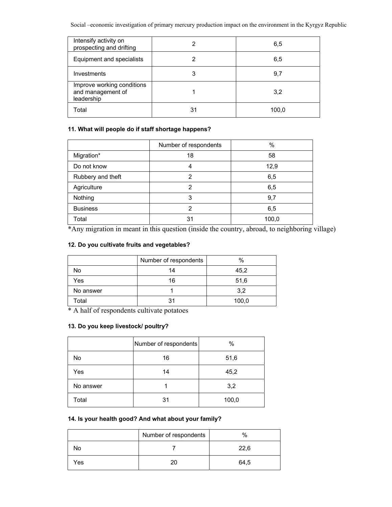| Intensify activity on<br>prospecting and drifting             |    | 6,5   |
|---------------------------------------------------------------|----|-------|
| Equipment and specialists                                     |    | 6,5   |
| Investments                                                   | 3  | 9,7   |
| Improve working conditions<br>and management of<br>leadership |    | 3,2   |
| Total                                                         | 31 | 100.0 |

### **11. What will people do if staff shortage happens?**

|                   | Number of respondents | $\%$  |
|-------------------|-----------------------|-------|
| Migration*        | 18                    | 58    |
| Do not know       |                       | 12,9  |
| Rubbery and theft | 2                     | 6,5   |
| Agriculture       | 2                     | 6,5   |
| Nothing           | 3                     | 9,7   |
| <b>Business</b>   | 2                     | 6,5   |
| Total             | 31                    | 100,0 |

\*Any migration in meant in this question (inside the country, abroad, to neighboring village)

### **12. Do you cultivate fruits and vegetables?**

|           | Number of respondents | $\%$  |
|-----------|-----------------------|-------|
| No        | 14                    | 45,2  |
| Yes       | 16                    | 51,6  |
| No answer |                       | 3,2   |
| Total     | 31                    | 100,0 |

\* A half of respondents cultivate potatoes

### **13. Do you keep livestock/ poultry?**

|           | Number of respondents | %     |
|-----------|-----------------------|-------|
| No        | 16                    | 51,6  |
| Yes       | 14                    | 45,2  |
| No answer |                       | 3,2   |
| Total     | 31                    | 100,0 |

### **14. Is your health good? And what about your family?**

|     | Number of respondents | %    |
|-----|-----------------------|------|
| NΟ  |                       | 22.6 |
| Yes |                       | 64,5 |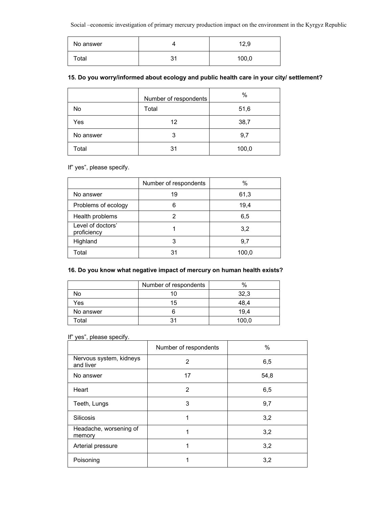| No answer        |          | 12,9  |
|------------------|----------|-------|
| $\mathsf{total}$ | يو.<br>ັ | 100,0 |

### **15. Do you worry/informed about ecology and public health care in your city/ settlement?**

|           | Number of respondents | $\%$  |
|-----------|-----------------------|-------|
| No        | Total                 | 51,6  |
| Yes       | 12                    | 38,7  |
| No answer | 3                     | 9,7   |
| Total     | 31                    | 100,0 |

If" yes", please specify.

|                                  | Number of respondents | $\%$  |
|----------------------------------|-----------------------|-------|
| No answer                        | 19                    | 61,3  |
| Problems of ecology              | 6                     | 19,4  |
| Health problems                  |                       | 6,5   |
| Level of doctors'<br>proficiency |                       | 3,2   |
| Highland                         | 3                     | 9,7   |
| Total                            | 31                    | 100,0 |

### **16. Do you know what negative impact of mercury on human health exists?**

|           | Number of respondents | $\frac{0}{0}$ |
|-----------|-----------------------|---------------|
| N٥        |                       | 32,3          |
| Yes       | 15                    | 48.4          |
| No answer |                       | 19.4          |
| Гоtal     | يو.                   | 100.0         |

### If" yes", please specify.

|                                      | Number of respondents | %    |
|--------------------------------------|-----------------------|------|
| Nervous system, kidneys<br>and liver | 2                     | 6,5  |
| No answer                            | 17                    | 54,8 |
| Heart                                | 2                     | 6,5  |
| Teeth, Lungs                         | 3                     | 9,7  |
| <b>Silicosis</b>                     |                       | 3,2  |
| Headache, worsening of<br>memory     | 1                     | 3,2  |
| Arterial pressure                    | 1                     | 3,2  |
| Poisoning                            |                       | 3,2  |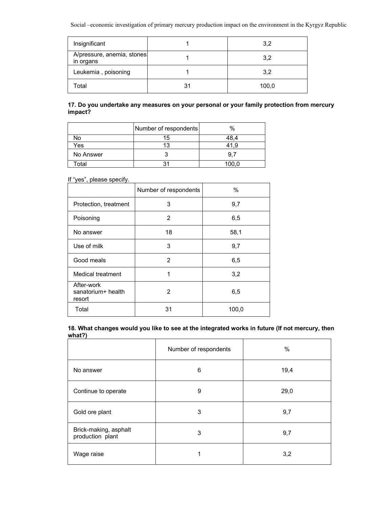| Insignificant                           | 3,2   |
|-----------------------------------------|-------|
| A/pressure, anemia, stones<br>in organs | 3,2   |
| Leukemia, poisoning                     | 3,2   |
| ⊺otal                                   | 100,0 |

### **17. Do you undertake any measures on your personal or your family protection from mercury impact?**

|           | Number of respondents | $\%$  |
|-----------|-----------------------|-------|
| No        |                       |       |
| Yes       |                       | 1.9   |
| No Answer |                       | 9.7   |
| ⊺otal     |                       | 100,0 |

If "yes", please specify.

|                                            | Number of respondents | $\%$  |
|--------------------------------------------|-----------------------|-------|
| Protection, treatment                      | 3                     | 9,7   |
| Poisoning                                  | 2                     | 6,5   |
| No answer                                  | 18                    | 58,1  |
| Use of milk                                | 3                     | 9,7   |
| Good meals                                 | 2                     | 6,5   |
| <b>Medical treatment</b>                   | 1                     | 3,2   |
| After-work<br>sanatorium+ health<br>resort | 2                     | 6,5   |
| Total                                      | 31                    | 100,0 |

**18. What changes would you like to see at the integrated works in future (If not mercury, then what?)**

|                                           | Number of respondents | $\%$ |
|-------------------------------------------|-----------------------|------|
| No answer                                 | 6                     | 19,4 |
| Continue to operate                       | 9                     | 29,0 |
| Gold ore plant                            | 3                     | 9,7  |
| Brick-making, asphalt<br>production plant | 3                     | 9,7  |
| Wage raise                                | 1                     | 3,2  |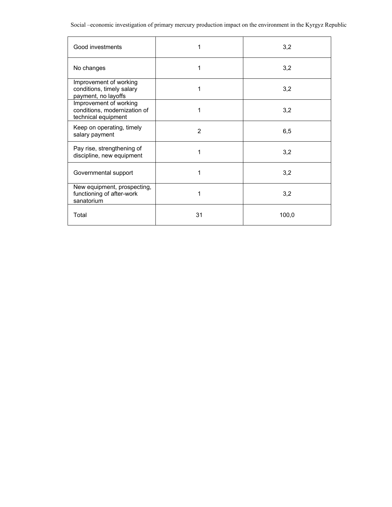| Good investments                                                              | 1              | 3,2   |
|-------------------------------------------------------------------------------|----------------|-------|
| No changes                                                                    | 1              | 3,2   |
| Improvement of working<br>conditions, timely salary<br>payment, no layoffs    | 1              | 3,2   |
| Improvement of working<br>conditions, modernization of<br>technical equipment | 1              | 3,2   |
| Keep on operating, timely<br>salary payment                                   | $\overline{2}$ | 6,5   |
| Pay rise, strengthening of<br>discipline, new equipment                       | 1              | 3,2   |
| Governmental support                                                          | 1              | 3,2   |
| New equipment, prospecting,<br>functioning of after-work<br>sanatorium        | 1              | 3,2   |
| Total                                                                         | 31             | 100,0 |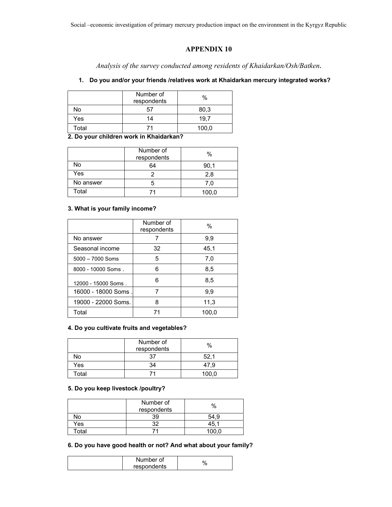### **APPENDIX 10**

*Analysis of the survey conducted among residents of Khaidarkan/Osh/Batken***.** 

### **1. Do you and/or your friends /relatives work at Khaidarkan mercury integrated works?**

|       | Number of<br>respondents | %     |
|-------|--------------------------|-------|
| No    | 57                       | 80,3  |
| Yes   | 14                       | 19.7  |
| Total |                          | 100,0 |

**2. Do your children work in Khaidarkan?** 

|           | Number of<br>respondents | $\%$  |
|-----------|--------------------------|-------|
| No        | 64                       | 90,1  |
| Yes       |                          | 2.8   |
| No answer |                          | 7.0   |
| Total     |                          | 100,0 |

### **3. What is your family income?**

|                     | Number of<br>respondents | $\frac{0}{0}$ |
|---------------------|--------------------------|---------------|
| No answer           |                          | 9,9           |
| Seasonal income     | 32                       | 45,1          |
| $5000 - 7000$ Soms  | 5                        | 7,0           |
| 8000 - 10000 Soms.  | 6                        | 8,5           |
| 12000 - 15000 Soms. | 6                        | 8,5           |
| 16000 - 18000 Soms  |                          | 9,9           |
| 19000 - 22000 Soms. | 8                        | 11,3          |
| Total               |                          | 100,0         |

### **4. Do you cultivate fruits and vegetables?**

|       | Number of<br>respondents | $\%$  |
|-------|--------------------------|-------|
| No    | 27                       | 52.   |
| Yes   | 34                       | 47.9  |
| Total |                          | 100,0 |

#### **5. Do you keep livestock /poultry?**

|       | Number of<br>respondents | $\%$ |
|-------|--------------------------|------|
| N٥    |                          |      |
| Yes   | ne                       | 45   |
| Total |                          |      |

### **6. Do you have good health or not? And what about your family?**

| Number of   |  |
|-------------|--|
| respondents |  |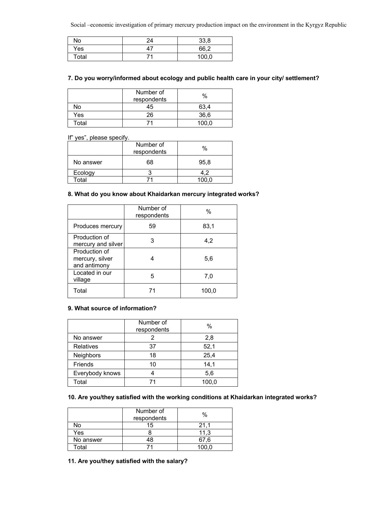| No    | 24    | 33,8  |
|-------|-------|-------|
| Yes   | $4^7$ | 66,2  |
| Total |       | 100,0 |

### **7. Do you worry/informed about ecology and public health care in your city/ settlement?**

|       | Number of<br>respondents | $\%$  |
|-------|--------------------------|-------|
| No    | 45                       | 63.4  |
| Yes   | 26                       | 36,6  |
| Total |                          | 100 O |

If" yes", please specify.

|           | Number of<br>respondents | $\%$ |
|-----------|--------------------------|------|
| No answer | 68                       | 95,8 |
| Ecology   |                          |      |
| Total     |                          |      |

### **8. What do you know about Khaidarkan mercury integrated works?**

|                                                  | Number of<br>respondents | $\%$  |
|--------------------------------------------------|--------------------------|-------|
| Produces mercury                                 | 59                       | 83,1  |
| Production of<br>mercury and silver              | 3                        | 4,2   |
| Production of<br>mercury, silver<br>and antimony |                          | 5,6   |
| Located in our<br>village                        | 5                        | 7,0   |
| Total                                            | 71                       | 100,0 |

### **9. What source of information?**

|                  | Number of<br>respondents | $\%$  |
|------------------|--------------------------|-------|
| No answer        |                          | 2,8   |
| <b>Relatives</b> | 37                       | 52,1  |
| <b>Neighbors</b> | 18                       | 25,4  |
| <b>Friends</b>   | 10                       | 14,1  |
| Everybody knows  |                          | 5,6   |
| Total            |                          | 100,0 |

### **10. Are you/they satisfied with the working conditions at Khaidarkan integrated works?**

|           | Number of<br>respondents | $\%$  |
|-----------|--------------------------|-------|
| No        | 15                       | 21.1  |
| Yes       |                          | 11.3  |
| No answer | 18                       | 67.6  |
| Total     |                          | 100.0 |

#### **11. Are you/they satisfied with the salary?**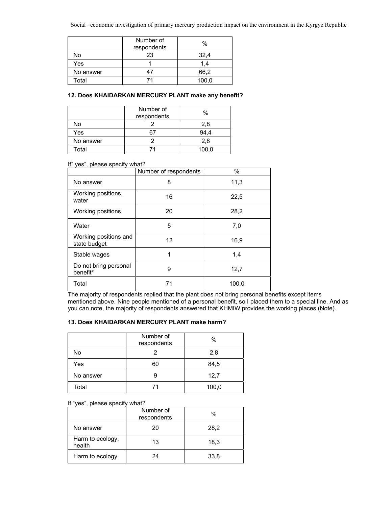|           | Number of<br>respondents | %     |
|-----------|--------------------------|-------|
| No        | 23                       | 32,4  |
| Yes       |                          | 1.4   |
| No answer |                          | 66,2  |
| Total     |                          | 100,0 |

### **12. Does KHAIDARKAN MERCURY PLANT make any benefit?**

|           | Number of<br>respondents | %     |
|-----------|--------------------------|-------|
| No        |                          | 2,8   |
| Yes       |                          |       |
| No answer |                          | 2,8   |
| Total     |                          | 100,0 |

#### If" yes", please specify what?

|                                       | Number of respondents | %     |
|---------------------------------------|-----------------------|-------|
| No answer                             | 8                     | 11,3  |
| Working positions,<br>water           | 16                    | 22,5  |
| Working positions                     | 20                    | 28,2  |
| Water                                 | 5                     | 7,0   |
| Working positions and<br>state budget | 12                    | 16,9  |
| Stable wages                          | 1                     | 1,4   |
| Do not bring personal<br>benefit*     | 9                     | 12,7  |
| Total                                 | 71                    | 100,0 |

The majority of respondents replied that the plant does not bring personal benefits except items mentioned above. Nine people mentioned of a personal benefit, so I placed them to a special line. And as you can note, the majority of respondents answered that KHMIW provides the working places (Note).

### **13. Does KHAIDARKAN MERCURY PLANT make harm?**

|           | Number of<br>respondents | $\%$  |
|-----------|--------------------------|-------|
| No        |                          | 2,8   |
| Yes       | 60                       | 84,5  |
| No answer | 9                        | 12,7  |
| Total     |                          | 100,0 |

#### If "yes", please specify what?

|                            | Number of<br>respondents | %    |
|----------------------------|--------------------------|------|
| No answer                  | 20                       | 28,2 |
| Harm to ecology,<br>health | 13                       | 18,3 |
| Harm to ecology            | 24                       | 33,8 |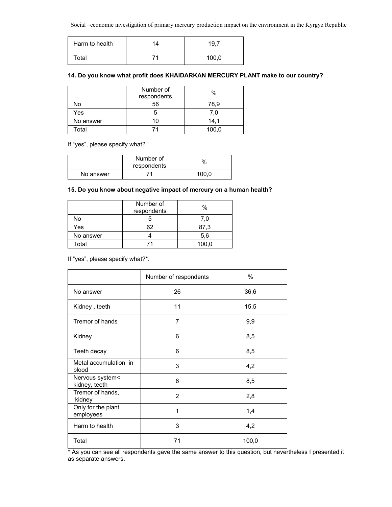| Harm to health | 14 | 19.7  |
|----------------|----|-------|
| Total          |    | 100,0 |

### **14. Do you know what profit does KHAIDARKAN MERCURY PLANT make to our country?**

|           | Number of<br>respondents | $\%$  |
|-----------|--------------------------|-------|
| No        | 56                       | 78,9  |
| Yes       |                          | 7.0   |
| No answer | 10                       | 14.1  |
| Total     |                          | 100,0 |

### If "yes", please specify what?

|           | Number of<br>respondents | $\%$  |
|-----------|--------------------------|-------|
| No answer | 71                       | 100.0 |

### **15. Do you know about negative impact of mercury on a human health?**

|           | Number of<br>respondents | $\%$  |
|-----------|--------------------------|-------|
| No        |                          | 7.0   |
| Yes       | 62                       | 87,3  |
| No answer |                          | 5,6   |
| Total     |                          | 100,0 |

If "yes", please specify what?\*.

|                                  | Number of respondents | %     |
|----------------------------------|-----------------------|-------|
| No answer                        | 26                    | 36,6  |
| Kidney, teeth                    | 11                    | 15,5  |
| Tremor of hands                  | 7                     | 9,9   |
| Kidney                           | 6                     | 8,5   |
| Teeth decay                      | 6                     | 8,5   |
| Metal accumulation in<br>blood   | 3                     | 4,2   |
| Nervous system<<br>kidney, teeth | 6                     | 8,5   |
| Tremor of hands,<br>kidney       | 2                     | 2,8   |
| Only for the plant<br>employees  | 1                     | 1,4   |
| Harm to health                   | 3                     | 4,2   |
| Total                            | 71                    | 100,0 |

\* As you can see all respondents gave the same answer to this question, but nevertheless I presented it as separate answers.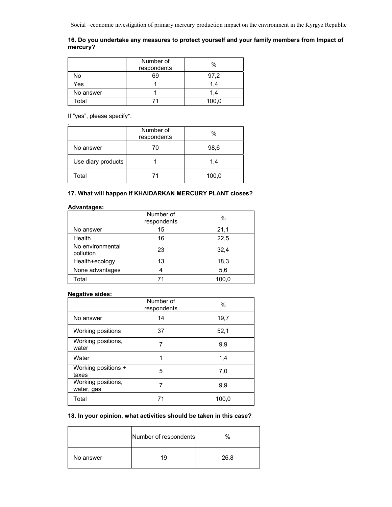### **16. Do you undertake any measures to protect yourself and your family members from Impact of mercury?**

|           | Number of<br>respondents | $\%$  |
|-----------|--------------------------|-------|
| No        | 69                       | 97.2  |
| Yes       |                          | 1,4   |
| No answer |                          | 1.4   |
| Total     |                          | 100,0 |

If "yes", please specify\*.

| ٠                  | Number of<br>respondents | $\%$  |
|--------------------|--------------------------|-------|
| No answer          | 70                       | 98,6  |
| Use diary products |                          | 1,4   |
| Total              | 71                       | 100,0 |

### **17. What will happen if KHAIDARKAN MERCURY PLANT closes?**

#### **Advantages:**

|                               | Number of<br>respondents | $\%$  |
|-------------------------------|--------------------------|-------|
| No answer                     | 15                       | 21,1  |
| Health                        | 16                       | 22,5  |
| No environmental<br>pollution | 23                       | 32,4  |
| Health+ecology                | 13                       | 18,3  |
| None advantages               |                          | 5,6   |
| Total                         |                          | 100,0 |

### **Negative sides:**

|                                  | Number of<br>respondents | $\%$  |
|----------------------------------|--------------------------|-------|
| No answer                        | 14                       | 19,7  |
| Working positions                | 37                       | 52,1  |
| Working positions,<br>water      |                          | 9,9   |
| Water                            |                          | 1,4   |
| Working positions +<br>taxes     | 5                        | 7.0   |
| Working positions,<br>water, gas |                          | 9,9   |
| Total                            | 71                       | 100,0 |

### **18. In your opinion, what activities should be taken in this case?**

|           | Number of respondents | $\%$ |
|-----------|-----------------------|------|
| No answer |                       | 26,8 |